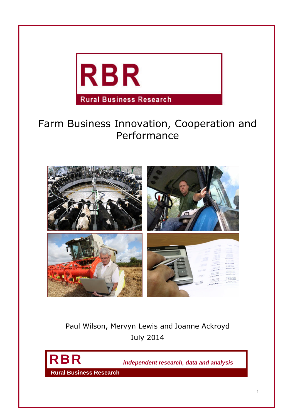

# Farm Business Innovation, Cooperation and Performance



Paul Wilson, Mervyn Lewis and Joanne Ackroyd July 2014



**RBR** *independent research, data and analysis*

**Rural Business Research**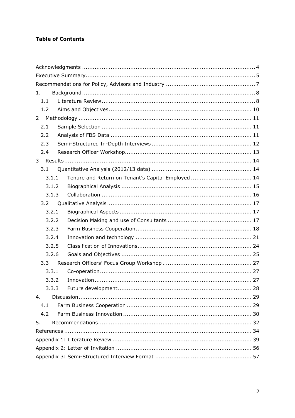# **Table of Contents**

| 1.                                                          |
|-------------------------------------------------------------|
| 1.1                                                         |
| 1.2                                                         |
| $\overline{2}$                                              |
| 2.1                                                         |
| 2.2                                                         |
| 2.3                                                         |
| 2.4                                                         |
| 3                                                           |
| 3.1                                                         |
| Tenure and Return on Tenant's Capital Employed  14<br>3.1.1 |
| 3.1.2                                                       |
| 3.1.3                                                       |
| 3.2                                                         |
| 3.2.1                                                       |
| 3.2.2                                                       |
| 3.2.3                                                       |
| 3.2.4                                                       |
| 3.2.5                                                       |
| 3.2.6                                                       |
| 3.3                                                         |
| 3.3.1                                                       |
| 3.3.2                                                       |
| 3.3.3                                                       |
| 4.                                                          |
| 4.1                                                         |
| 4.2                                                         |
| 5.                                                          |
|                                                             |
|                                                             |
|                                                             |
|                                                             |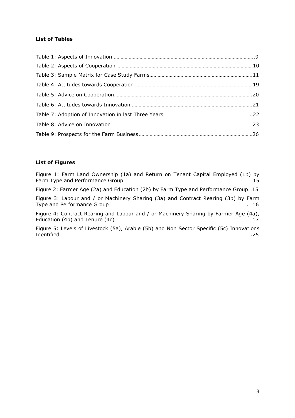# **List of Tables**

# **List of Figures**

| Figure 1: Farm Land Ownership (1a) and Return on Tenant Capital Employed (1b) by         |
|------------------------------------------------------------------------------------------|
| Figure 2: Farmer Age (2a) and Education (2b) by Farm Type and Performance Group15        |
| Figure 3: Labour and / or Machinery Sharing (3a) and Contract Rearing (3b) by Farm       |
| Figure 4: Contract Rearing and Labour and / or Machinery Sharing by Farmer Age (4a),     |
| Figure 5: Levels of Livestock (5a), Arable (5b) and Non Sector Specific (5c) Innovations |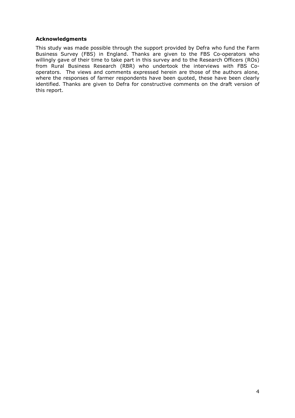#### <span id="page-3-0"></span>**Acknowledgments**

This study was made possible through the support provided by Defra who fund the Farm Business Survey (FBS) in England. Thanks are given to the FBS Co-operators who willingly gave of their time to take part in this survey and to the Research Officers (ROs) from Rural Business Research (RBR) who undertook the interviews with FBS Cooperators. The views and comments expressed herein are those of the authors alone, where the responses of farmer respondents have been quoted, these have been clearly identified. Thanks are given to Defra for constructive comments on the draft version of this report.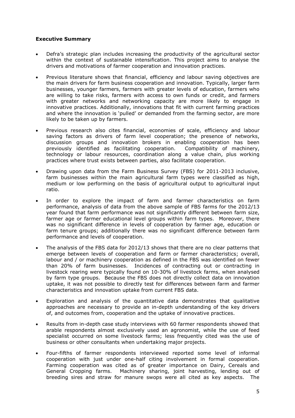#### <span id="page-4-0"></span>**Executive Summary**

- Defra's strategic plan includes increasing the productivity of the agricultural sector within the context of sustainable intensification. This project aims to analyse the drivers and motivations of farmer cooperation and innovation practices.
- Previous literature shows that financial, efficiency and labour saving objectives are the main drivers for farm business cooperation and innovation. Typically, larger farm businesses, younger farmers, farmers with greater levels of education, farmers who are willing to take risks, farmers with access to own funds or credit, and farmers with greater networks and networking capacity are more likely to engage in innovative practices. Additionally, innovations that fit with current farming practices and where the innovation is 'pulled' or demanded from the farming sector, are more likely to be taken up by farmers.
- Previous research also cites financial, economies of scale, efficiency and labour saving factors as drivers of farm level cooperation; the presence of networks, discussion groups and innovation brokers in enabling cooperation has been previously identified as facilitating cooperation. Compatibility of machinery, technology or labour resources, coordination along a value chain, plus working practices where trust exists between parties, also facilitate cooperation.
- Drawing upon data from the Farm Business Survey (FBS) for 2011-2013 inclusive, farm businesses within the main agricultural farm types were classified as high, medium or low performing on the basis of agricultural output to agricultural input ratio.
- In order to explore the impact of farm and farmer characteristics on farm performance, analysis of data from the above sample of FBS farms for the 2012/13 year found that farm performance was not significantly different between farm size, farmer age or farmer educational level groups within farm types. Moreover, there was no significant difference in levels of cooperation by farmer age, education or farm tenure groups; additionally there was no significant difference between farm performance and levels of cooperation.
- The analysis of the FBS data for 2012/13 shows that there are no clear patterns that emerge between levels of cooperation and farm or farmer characteristics; overall, labour and / or machinery cooperation as defined in the FBS was identified on fewer than 20% of farm businesses. Incidences of contracting out or contracting in livestock rearing were typically found on 10-30% of livestock farms, when analysed by farm type groups. Because the FBS does not directly collect data on innovation uptake, it was not possible to directly test for differences between farm and farmer characteristics and innovation uptake from current FBS data.
- Exploration and analysis of the quantitative data demonstrates that qualitative approaches are necessary to provide an in-depth understanding of the key drivers of, and outcomes from, cooperation and the uptake of innovative practices.
- Results from in-depth case study interviews with 60 farmer respondents showed that arable respondents almost exclusively used an agronomist, while the use of feed specialist occurred on some livestock farms; less frequently cited was the use of business or other consultants when undertaking major projects.
- Four-fifths of farmer respondents interviewed reported some level of informal cooperation with just under one-half citing involvement in formal cooperation. Farming cooperation was cited as of greater importance on Dairy, Cereals and General Cropping farms. Machinery sharing, joint harvesting, lending out of breeding sires and straw for manure swops were all cited as key aspects. The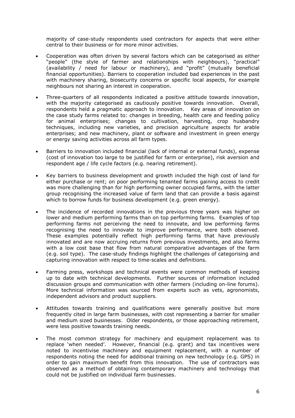majority of case-study respondents used contractors for aspects that were either central to their business or for more minor activities.

- Cooperation was often driven by several factors which can be categorised as either "people" (the style of farmer and relationships with neighbours), "practical" (availability / need for labour or machinery), and "profit" (mutually beneficial financial opportunities). Barriers to cooperation included bad experiences in the past with machinery sharing, biosecurity concerns or specific local aspects, for example neighbours not sharing an interest in cooperation.
- Three-quarters of all respondents indicated a positive attitude towards innovation, with the majority categorised as cautiously positive towards innovation. Overall, respondents held a pragmatic approach to innovation. Key areas of innovation on the case study farms related to: changes in breeding, health care and feeding policy for animal enterprises; changes to cultivation, harvesting, crop husbandry techniques, including new varieties, and precision agriculture aspects for arable enterprises; and new machinery, plant or software and investment in green energy or energy saving activities across all farm types.
- Barriers to innovation included financial (lack of internal or external funds), expense (cost of innovation too large to be justified for farm or enterprise), risk aversion and respondent age / life cycle factors (e.g. nearing retirement).
- Key barriers to business development and growth included the high cost of land for either purchase or rent; on poor performing tenanted farms gaining access to credit was more challenging than for high performing owner occupied farms, with the latter group recognising the increased value of farm land that can provide a basis against which to borrow funds for business development (e.g. green energy).
- The incidence of recorded innovations in the previous three years was higher on lower and medium performing farms than on top performing farms. Examples of top performing farms not perceiving the need to innovate, and low performing farms recognising the need to innovate to improve performance, were both observed. These examples potentially reflect high performing farms that have previously innovated and are now accruing returns from previous investments, and also farms with a low cost base that flow from natural comparative advantages of the farm (e.g. soil type). The case-study findings highlight the challenges of categorising and capturing innovation with respect to time-scales and definitions.
- Farming press, workshops and technical events were common methods of keeping up to date with technical developments. Further sources of information included discussion groups and communication with other farmers (including on-line forums). More technical information was sourced from experts such as vets, agronomists, independent advisors and product suppliers.
- Attitudes towards training and qualifications were generally positive but more frequently cited in large farm businesses, with cost representing a barrier for smaller and medium sized businesses. Older respondents, or those approaching retirement, were less positive towards training needs.
- The most common strategy for machinery and equipment replacement was to replace 'when needed'. However, financial (e.g. grant) and tax incentives were noted to incentivise machinery and equipment replacement, with a number of respondents noting the need for additional training on new technology (e.g. GPS) in order to gain maximum benefit from this innovation. The use of contractors was observed as a method of obtaining contemporary machinery and technology that could not be justified on individual farm businesses.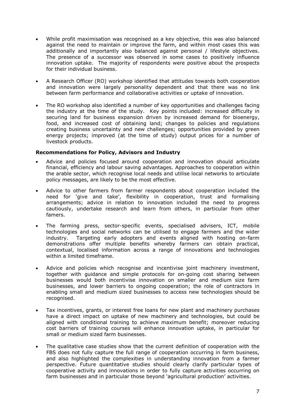- While profit maximisation was recognised as a key objective, this was also balanced against the need to maintain or improve the farm, and within most cases this was additionally and importantly also balanced against personal / lifestyle objectives. The presence of a successor was observed in some cases to positively influence innovation uptake. The majority of respondents were positive about the prospects for their individual business.
- A Research Officer (RO) workshop identified that attitudes towards both cooperation and innovation were largely personality dependent and that there was no link between farm performance and collaborative activities or uptake of innovation.
- The RO workshop also identified a number of key opportunities and challenges facing the industry at the time of the study. Key points included: increased difficulty in securing land for business expansion driven by increased demand for bioenergy, food, and increased cost of obtaining land; changes to policies and regulations creating business uncertainty and new challenges; opportunities provided by green energy projects; improved (at the time of study) output prices for a number of livestock products.

#### <span id="page-6-0"></span>**Recommendations for Policy, Advisors and Industry**

- Advice and policies focused around cooperation and innovation should articulate financial, efficiency and labour saving advantages. Approaches to cooperation within the arable sector, which recognise local needs and utilise local networks to articulate policy messages, are likely to be the most effective.
- Advice to other farmers from farmer respondents about cooperation included the need for 'give and take', flexibility in cooperation, trust and formalising arrangements; advice in relation to innovation included the need to progress cautiously, undertake research and learn from others, in particular from other famers.
- The farming press, sector-specific events, specialised advisers, ICT, mobile technologies and social networks can be utilised to engage farmers and the wider industry. Targeting early adopters and events aligned with hosting on-farm demonstrations offer multiple benefits whereby farmers can obtain practical, contextual, localised information across a range of innovations and technologies within a limited timeframe.
- Advice and policies which recognise and incentivise joint machinery investment, together with guidance and simple protocols for on-going cost sharing between businesses would both incentivise innovation on smaller and medium size farm businesses, and lower barriers to ongoing cooperation; the role of contractors in enabling small and medium sized businesses to access new technologies should be recognised.
- Tax incentives, grants, or interest free loans for new plant and machinery purchases have a direct impact on uptake of new machinery and technologies, but could be aligned with conditional training to achieve maximum benefit; moreover reducing cost barriers of training courses will enhance innovation uptake, in particular for small or medium sized farm businesses.
- The qualitative case studies show that the current definition of cooperation with the FBS does not fully capture the full range of cooperation occurring in farm business, and also highlighted the complexities in understanding innovation from a farmer perspective. Future quantitative studies should clearly clarify particular types of cooperative activity and innovations in order to fully capture activities occurring on farm businesses and in particular those beyond 'agricultural production' activities.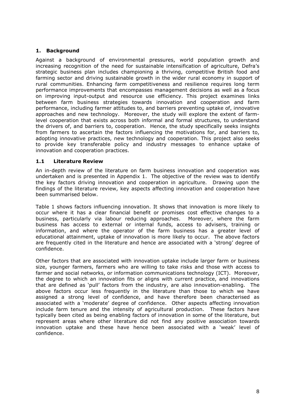## <span id="page-7-0"></span>**1. Background**

Against a background of environmental pressures, world population growth and increasing recognition of the need for sustainable intensification of agriculture, Defra's strategic business plan includes championing a thriving, competitive British food and farming sector and driving sustainable growth in the wider rural economy in support of rural communities. Enhancing farm competitiveness and resilience requires long term performance improvements that encompasses management decisions as well as a focus on improving input-output and resource use efficiency. This project examines links between farm business strategies towards innovation and cooperation and farm performance, including farmer attitudes to, and barriers preventing uptake of, innovative approaches and new technology. Moreover, the study will explore the extent of farmlevel cooperation that exists across both informal and formal structures, to understand the drivers of, and barriers to, cooperation. Hence, the study specifically seeks insights from farmers to ascertain the factors influencing the motivations for, and barriers to, adopting innovative practices, new technology and cooperation. This project also seeks to provide key transferable policy and industry messages to enhance uptake of innovation and cooperation practices.

#### <span id="page-7-1"></span>**1.1 Literature Review**

An in-depth review of the literature on farm business innovation and cooperation was undertaken and is presented in Appendix 1. The objective of the review was to identify the key factors driving innovation and cooperation in agriculture. Drawing upon the findings of the literature review, key aspects affecting innovation and cooperation have been summarised below.

Table 1 shows factors influencing innovation. It shows that innovation is more likely to occur where it has a clear financial benefit or promises cost effective changes to a business, particularly via labour reducing approaches. Moreover, where the farm business has access to external or internal funds, access to advisers, training or information, and where the operator of the farm business has a greater level of educational attainment, uptake of innovation is more likely to occur. The above factors are frequently cited in the literature and hence are associated with a 'strong' degree of confidence.

Other factors that are associated with innovation uptake include larger farm or business size, younger farmers, farmers who are willing to take risks and those with access to farmer and social networks, or information communications technology (ICT). Moreover, the degree to which an innovation fits or aligns with current practice, and innovations that are defined as 'pull' factors from the industry, are also innovation-enabling. The above factors occur less frequently in the literature than those to which we have assigned a strong level of confidence, and have therefore been characterised as associated with a 'moderate' degree of confidence. Other aspects affecting innovation include farm tenure and the intensity of agricultural production. These factors have typically been cited as being enabling factors of innovation in some of the literature, but represent areas where other literature did not find any positive association towards innovation uptake and these have hence been associated with a 'weak' level of confidence.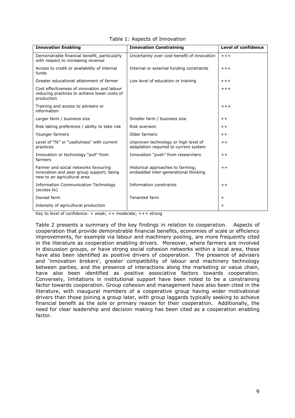| <b>Innovation Enabling</b>                                                                                      | <b>Innovation Constraining</b>                                                | <b>Level of confidence</b> |
|-----------------------------------------------------------------------------------------------------------------|-------------------------------------------------------------------------------|----------------------------|
| Demonstrable financial benefit, particularly<br>with respect to increasing revenue                              | Uncertainty over cost-benefit of innovation                                   | $+++$                      |
| Access to credit or availability of internal<br>funds                                                           | Internal or external funding constraints                                      | $+++$                      |
| Greater educational attainment of farmer                                                                        | Low level of education or training                                            | $+++$                      |
| Cost effectiveness of innovation and labour<br>reducing practices to achieve lower costs of<br>production       |                                                                               | $+++$                      |
| Training and access to advisers or<br>information                                                               |                                                                               | $+++$                      |
| Larger farm / business size                                                                                     | Smaller farm / business size                                                  | $++$                       |
| Risk taking preference / ability to take risk                                                                   | <b>Risk aversion</b>                                                          | $++$                       |
| Younger farmers                                                                                                 | Older farmers                                                                 | $++$                       |
| Level of "fit" or "usefulness" with current<br>practices                                                        | Unproven technology or high level of<br>adaptation required to current system | $++$                       |
| Innovation or technology "pull" from<br>farmers                                                                 | Innovation "push" from researchers                                            | $++$                       |
| Farmer and social networks favouring<br>innovation and peer group support; being<br>new to an agricultural area | Historical approaches to farming;<br>embedded inter-generational thinking     | $++$                       |
| <b>Information Communication Technology</b><br>(access to)                                                      | Information constraints                                                       | $++$                       |
| Owned farm                                                                                                      | Tenanted farm                                                                 | $\ddot{}$                  |
| Intensity of agricultural production                                                                            |                                                                               | $\ddot{}$                  |

Table 1: Aspects of Innovation

Key to level of confidence:  $+$  weak;  $++$  moderate;  $+++$  strong

Table 2 presents a summary of the key findings in relation to cooperation. Aspects of cooperation that provide demonstrable financial benefits, economies of scale or efficiency improvements, for example via labour and machinery pooling, are more frequently cited in the literature as cooperation enabling drivers. Moreover, where farmers are involved in discussion groups, or have strong social cohesion networks within a local area, these have also been identified as positive drivers of cooperation. The presence of advisers and 'innovation brokers', greater compatibility of labour and machinery technology between parties, and the presence of interactions along the marketing or value chain, have also been identified as positive associative factors towards cooperation. Conversely, limitations in institutional support have been noted to be a constraining factor towards cooperation. Group cohesion and management have also been cited in the literature, with inaugural members of a cooperative group having wider motivational drivers than those joining a group later, with group laggards typically seeking to achieve financial benefit as the sole or primary reason for their cooperation. Additionally, the need for clear leadership and decision making has been cited as a cooperation enabling factor.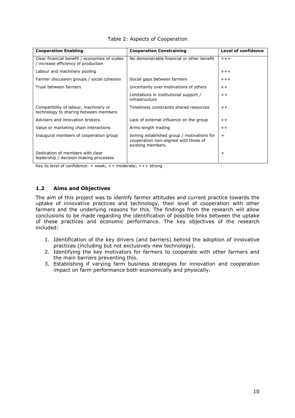| <b>Cooperation Enabling</b>                                                          | <b>Cooperation Constraining</b>                                                                           | Level of confidence |
|--------------------------------------------------------------------------------------|-----------------------------------------------------------------------------------------------------------|---------------------|
| Clear financial benefit / economies of scales<br>/ increase efficiency of production | No demonstrable financial or other benefit                                                                | $+++$               |
| Labour and machinery pooling                                                         |                                                                                                           | $+++$               |
| Farmer discussion groups / social cohesion                                           | Social gaps between farmers                                                                               | $+ + +$             |
| Trust between farmers                                                                | Uncertainty over motivations of others                                                                    | $++$                |
|                                                                                      | Limitations in institutional support /<br>infrastructure                                                  | $++$                |
| Compatibility of labour, machinery or<br>technology to sharing between members       | Timeliness constraints shared resources                                                                   | $++$                |
| Advisers and innovation brokers                                                      | Lack of external influence on the group                                                                   | $++$                |
| Value or marketing chain interactions                                                | Arms-length trading                                                                                       | $++$                |
| Inaugural members of cooperation group                                               | Joining established group / motivations for<br>cooperation non-aligned with those of<br>existing members. | $^{+}$              |
| Dedication of members with clear<br>leadership / decision making processes           |                                                                                                           | $\ddot{}$           |

|  |  |  |  | Table 2: Aspects of Cooperation |
|--|--|--|--|---------------------------------|
|--|--|--|--|---------------------------------|

Key to level of confidence:  $+$  weak;  $++$  moderate;  $+++$  strong

## <span id="page-9-0"></span>**1.2 Aims and Objectives**

The aim of this project was to identify farmer attitudes and current practice towards the uptake of innovative practices and technology, their level of cooperation with other farmers and the underlying reasons for this. The findings from the research will allow conclusions to be made regarding the identification of possible links between the uptake of these practices and economic performance. The key objectives of the research included:

- 1. Identification of the key drivers (and barriers) behind the adoption of innovative practices (including but not exclusively new technology).
- 2. Identifying the key motivators for farmers to cooperate with other farmers and the main barriers preventing this.
- 3. Establishing if varying farm business strategies for innovation and cooperation impact on farm performance both economically and physically.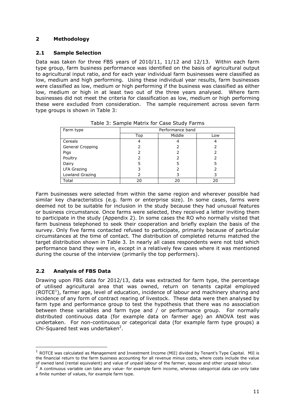## <span id="page-10-1"></span><span id="page-10-0"></span>**2 Methodology**

## **2.1 Sample Selection**

Data was taken for three FBS years of 2010/11, 11/12 and 12/13. Within each farm type group, farm business performance was identified on the basis of agricultural output to agricultural input ratio, and for each year individual farm businesses were classified as low, medium and high performing. Using these individual year results, farm businesses were classified as low, medium or high performing if the business was classified as either low, medium or high in at least two out of the three years analysed. Where farm businesses did not meet the criteria for classification as low, medium or high performing these were excluded from consideration. The sample requirement across seven farm type groups is shown in Table 3:

| Farm type          | Performance band |        |     |
|--------------------|------------------|--------|-----|
|                    | Top              | Middle | Low |
| Cereals            | 4                |        |     |
| General Cropping   |                  |        |     |
| Pigs               |                  |        |     |
| Poultry            |                  |        |     |
| Dairy              | 5                |        |     |
| <b>LFA Grazing</b> |                  |        |     |
| Lowland Grazing    |                  |        |     |
| Total              | 20               | 20     | 20  |

Table 3: Sample Matrix for Case Study Farms

Farm businesses were selected from within the same region and wherever possible had similar key characteristics (e.g. farm or enterprise size). In some cases, farms were deemed not to be suitable for inclusion in the study because they had unusual features or business circumstance. Once farms were selected, they received a letter inviting them to participate in the study (Appendix 2). In some cases the RO who normally visited that farm business telephoned to seek their cooperation and briefly explain the basis of the survey. Only five farms contacted refused to participate, primarily because of particular circumstances at the time of contact. The distribution of completed returns matched the target distribution shown in Table 3. In nearly all cases respondents were not told which performance band they were in, except in a relatively few cases where it was mentioned during the course of the interview (primarily the top performers).

# <span id="page-10-2"></span>**2.2 Analysis of FBS Data**

Drawing upon FBS data for 2012/13, data was extracted for farm type, the percentage of utilised agricultural area that was owned, return on tenants capital employed (ROTCE<sup>[1](#page-10-3)</sup>), farmer age, level of education, incidence of labour and machinery sharing and incidence of any form of contract rearing of livestock. These data were then analysed by farm type and performance group to test the hypothesis that there was no association between these variables and farm type and / or performance group. For normally distributed continuous data (for example data on farmer age) an ANOVA test was undertaken. For non-continuous or categorical data (for example farm type groups) a Chi-Squared test was undertaken $2$ [.](#page-10-4)

<span id="page-10-3"></span> $^1$  ROTCE was calculated as Management and Investment Income (MII) divided by Tenant's Type Capital. MII is the financial return to the farm business accounting for all revenue minus costs, where costs include the value of owned land (rental equivalent) and value of unpaid labour of the farmer, spouse and other unpaid labour.

<span id="page-10-4"></span> $2$  A continuous variable can take any value- for example farm income, whereas categorical data can only take a finite number of values, for example farm type.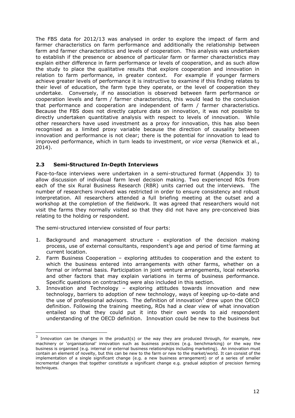The FBS data for 2012/13 was analysed in order to explore the impact of farm and farmer characteristics on farm performance and additionally the relationship between farm and farmer characteristics and levels of cooperation. This analysis was undertaken to establish if the presence or absence of particular farm or farmer characteristics may explain either difference in farm performance or levels of cooperation, and as such allow the study to place the qualitative results that explore cooperation and innovation in relation to farm performance, in greater context. For example if younger farmers achieve greater levels of performance it is instructive to examine if this finding relates to their level of education, the farm type they operate, or the level of cooperation they undertake. Conversely, if no association is observed between farm performance or cooperation levels and farm / farmer characteristics, this would lead to the conclusion that performance and cooperation are independent of farm / farmer characteristics. Because the FBS does not directly capture data on innovation, it was not possible to directly undertaken quantitative analysis with respect to levels of innovation. While other researchers have used investment as a proxy for innovation, this has also been recognised as a limited proxy variable because the direction of causality between innovation and performance is not clear; there is the potential for innovation to lead to improved performance, which in turn leads to investment, or *vice versa* (Renwick et al., 2014).

## <span id="page-11-0"></span>**2.3 Semi-Structured In-Depth Interviews**

Face-to-face interviews were undertaken in a semi-structured format (Appendix 3) to allow discussion of individual farm level decision making. Two experienced ROs from each of the six Rural Business Research (RBR) units carried out the interviews. The number of researchers involved was restricted in order to ensure consistency and robust interpretation. All researchers attended a full briefing meeting at the outset and a workshop at the completion of the fieldwork. It was agreed that researchers would not visit the farms they normally visited so that they did not have any pre-conceived bias relating to the holding or respondent.

The semi-structured interview consisted of four parts:

- 1. Background and management structure exploration of the decision making process, use of external consultants, respondent's age and period of time farming at current location.
- 2. Farm Business Cooperation exploring attitudes to cooperation and the extent to which the business entered into arrangements with other farms, whether on a formal or informal basis. Participation in joint venture arrangements, local networks and other factors that may explain variations in terms of business performance. Specific questions on contracting were also included in this section.
- 3. Innovation and Technology exploring attitudes towards innovation and new technology, barriers to adoption of new technology, ways of keeping up-to-date and the use of professional advisors. The definition of innovation<sup>[3](#page-11-1)</sup> drew upon the OECD definition. Following the training meeting, ROs had a clear view of what innovation entailed so that they could put it into their own words to aid respondent understanding of the OECD definition. Innovation could be new to the business but

<span id="page-11-1"></span><sup>&</sup>lt;sup>3</sup> Innovation can be changes in the product(s) or the way they are produced through, for example, new machinery or 'organisational' innovation such as business practices (e.g. benchmarking) or the way the business is organised (e.g. internal or external business relationships including marketing). An innovation must contain an element of novelty, but this can be new to the farm or new to the market/world. It can consist of the implementation of a single significant change (e.g. a new business arrangement) or of a series of smaller incremental changes that together constitute a significant change e.g. gradual adoption of precision farming techniques.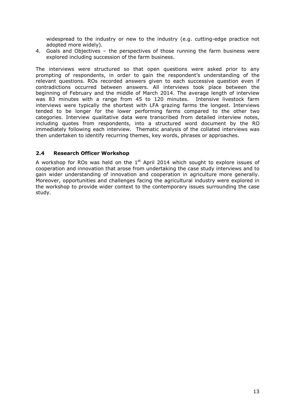widespread to the industry or new to the industry (e.g. cutting-edge practice not adopted more widely).

4. Goals and Objectives – the perspectives of those running the farm business were explored including succession of the farm business.

The interviews were structured so that open questions were asked prior to any prompting of respondents, in order to gain the respondent's understanding of the relevant questions. ROs recorded answers given to each successive question even if contradictions occurred between answers. All interviews took place between the beginning of February and the middle of March 2014. The average length of interview was 83 minutes with a range from 45 to 120 minutes. Intensive livestock farm interviews were typically the shortest with LFA grazing farms the longest. Interviews tended to be longer for the lower performing farms compared to the other two categories. Interview qualitative data were transcribed from detailed interview notes, including quotes from respondents, into a structured word document by the RO immediately following each interview. Thematic analysis of the collated interviews was then undertaken to identify recurring themes, key words, phrases or approaches.

#### <span id="page-12-0"></span>**2.4 Research Officer Workshop**

A workshop for ROs was held on the  $1<sup>st</sup>$  April 2014 which sought to explore issues of cooperation and innovation that arose from undertaking the case study interviews and to gain wider understanding of innovation and cooperation in agriculture more generally. Moreover, opportunities and challenges facing the agricultural industry were explored in the workshop to provide wider context to the contemporary issues surrounding the case study.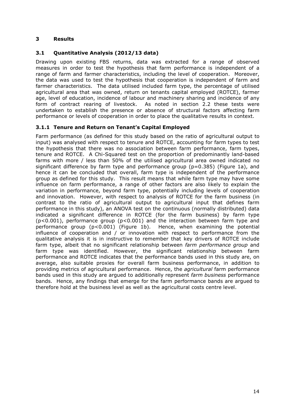## <span id="page-13-0"></span>**3 Results**

## <span id="page-13-1"></span>**3.1 Quantitative Analysis (2012/13 data)**

Drawing upon existing FBS returns, data was extracted for a range of observed measures in order to test the hypothesis that farm performance is independent of a range of farm and farmer characteristics, including the level of cooperation. Moreover, the data was used to test the hypothesis that cooperation is independent of farm and farmer characteristics. The data utilised included farm type, the percentage of utilised agricultural area that was owned, return on tenants capital employed (ROTCE), farmer age, level of education, incidence of labour and machinery sharing and incidence of any form of contract rearing of livestock. As noted in section 2.2 these tests were undertaken to establish the presence or absence of structural factors affecting farm performance or levels of cooperation in order to place the qualitative results in context.

## <span id="page-13-2"></span>**3.1.1 Tenure and Return on Tenant's Capital Employed**

Farm performance (as defined for this study based on the ratio of agricultural output to input) was analysed with respect to tenure and ROTCE, accounting for farm types to test the hypothesis that there was no association between farm performance, farm types, tenure and ROTCE. A Chi-Squared test on the proportion of predominantly land-based farms with more / less than 50% of the utilised agricultural area owned indicated no significant difference by farm type and performance group ( $p=0.385$ ) (Figure 1a), and hence it can be concluded that overall, farm type is independent of the performance group as defined for this study. This result means that while farm type may have some influence on farm performance, a range of other factors are also likely to explain the variation in performance, beyond farm type, potentially including levels of cooperation and innovation. However, with respect to analysis of ROTCE for the farm business (in contrast to the ratio of agricultural output to agricultural input that defines farm performance in this study), an ANOVA test on the continuous (normally distributed) data indicated a significant difference in ROTCE (for the farm business) by farm type (p<0.001), performance group (p<0.001) and the interaction between farm type and performance group  $(p<0.001)$  (Figure 1b). Hence, when examining the potential influence of cooperation and / or innovation with respect to performance from the qualitative analysis it is in instructive to remember that key drivers of ROTCE include farm type, albeit that no significant relationship between *farm performance group* and farm type was identified. However, the significant relationship between farm performance and ROTCE indicates that the performance bands used in this study are, on average, also suitable proxies for overall farm business performance, in addition to providing metrics of agricultural performance. Hence, the *agricultural* farm performance bands used in this study are argued to additionally represent *farm business* performance bands. Hence, any findings that emerge for the farm performance bands are argued to therefore hold at the business level as well as the agricultural costs centre level.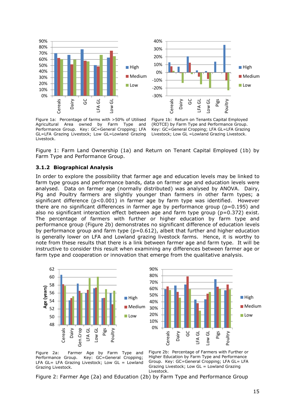



Figure 1a: Percentage of farms with >50% of Utilised Agricultural Area owned by Farm Type and Performance Group. Key: GC=General Cropping; LFA GL=LFA Grazing Livestock; Low GL=Lowland Grazing Livestock.

Figure 1b: Return on Tenants Capital Employed (ROTCE) by Farm Type and Performance Group. Key: GC=General Cropping; LFA GL=LFA Grazing Livestock; Low GL =Lowland Grazing Livestock.

<span id="page-14-0"></span>Figure 1: Farm Land Ownership (1a) and Return on Tenant Capital Employed (1b) by Farm Type and Performance Group.

#### **3.1.2 Biographical Analysis**

In order to explore the possibility that farmer age and education levels may be linked to farm type groups and performance bands, data on farmer age and education levels were analysed. Data on farmer age (normally distributed) was analysed by ANOVA. Dairy, Pig and Poultry farmers are slightly younger than farmers in other farm types; a significant difference  $(p<0.001)$  in farmer age by farm type was identified. However there are no significant differences in farmer age by performance group ( $p=0.195$ ) and also no significant interaction effect between age and farm type group (p=0.372) exist. The percentage of farmers with further or higher education by farm type and performance group (Figure 2b) demonstrates no significant difference of education levels by performance group and farm type (p=0.612), albeit that further and higher education is generally lower on LFA and Lowland grazing livestock farms. Hence, it is worthy to note from these results that there is a link between farmer age and farm type. It will be instructive to consider this result when examining any differences between farmer age or farm type and cooperation or innovation that emerge from the qualitative analysis.





Figure 2a: Farmer Age by Farm Type and Performance Group. Key: GC=General Cropping; LFA GL= LFA Grazing Livestock; Low GL = Lowland Grazing Livestock.

Figure 2b: Percentage of Farmers with Further or Higher Education by Farm Type and Performance Group. Key: GC=General Cropping; LFA GL= LFA Grazing Livestock; Low GL = Lowland Grazing Livestock.

Figure 2: Farmer Age (2a) and Education (2b) by Farm Type and Performance Group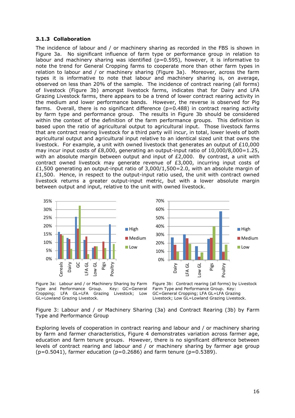#### <span id="page-15-0"></span>**3.1.3 Collaboration**

The incidence of labour and / or machinery sharing as recorded in the FBS is shown in Figure 3a. No significant influence of farm type or performance group in relation to labour and machinery sharing was identified (p=0.595), however, it is informative to note the trend for General Cropping farms to cooperate more than other farm types in relation to labour and / or machinery sharing (Figure 3a). Moreover, across the farm types it is informative to note that labour and machinery sharing is, on average, observed on less than 20% of the sample. The incidence of contract rearing (all forms) of livestock (Figure 3b) amongst livestock farms, indicates that for Dairy and LFA Grazing Livestock farms, there appears to be a trend of lower contract rearing activity in the medium and lower performance bands. However, the reverse is observed for Pig farms. Overall, there is no significant difference  $(p=0.488)$  in contract rearing activity by farm type and performance group. The results in Figure 3b should be considered within the context of the definition of the farm performance groups. This definition is based upon the ratio of agricultural output to agricultural input. Those livestock farms that are contract rearing livestock for a third party will incur, in total, lower levels of both agricultural output and agricultural input relative to an identical sized unit that owns the livestock. For example, a unit with owned livestock that generates an output of  $£10,000$ may incur input costs of £8,000, generating an output-input ratio of  $10,000/8,000=1.25$ , with an absolute margin between output and input of £2,000. By contrast, a unit with contract owned livestock may generate revenue of  $E3,000$ , incurring input costs of £1,500 generating an output-input ratio of  $3,000/1,500=2.0$ , with an absolute margin of £1,500. Hence, in respect to the output-input ratio used, the unit with contract owned livestock returns a greater output-input metric, but with a lower absolute margin between output and input, relative to the unit with owned livestock.



Figure 3a: Labour and / or Machinery Sharing by Farm Type and Performance Group. Key: GC=General Cropping; LFA GL=LFA Grazing Livestock; Low GL=Lowland Grazing Livestock.

Figure 3b: Contract rearing (all forms) by Livestock Farm Type and Performance Group. Key: GC=General Cropping; LFA GL=LFA Grazing Livestock; Low GL=Lowland Grazing Livestock.

Figure 3: Labour and / or Machinery Sharing (3a) and Contract Rearing (3b) by Farm Type and Performance Group

Exploring levels of cooperation in contract rearing and labour and / or machinery sharing by farm and farmer characteristics, Figure 4 demonstrates variation across farmer age, education and farm tenure groups. However, there is no significant difference between levels of contract rearing and labour and / or machinery sharing by farmer age group  $(p=0.5041)$ , farmer education ( $p=0.2686$ ) and farm tenure ( $p=0.5389$ ).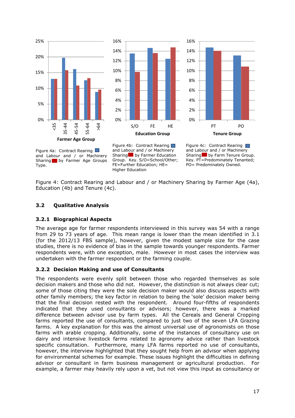





Figure 4a: Contract Rearing and Labour and / or Machinery Sharing by Farmer Age Groups Type.

Figure 4b: Contract Rearing and Labour and / or Machinery Sharing by Farmer Education Group. Key. S/O=School/Other; FE=Further Education; HE= Higher Education

Figure 4c: Contract Rearing and Labour and / or Machinery Sharing by Farm Tenure Group. Key. PT=Predominately Tenanted; PO= Predominately Owned.

Figure 4: Contract Rearing and Labour and / or Machinery Sharing by Farmer Age (4a), Education (4b) and Tenure (4c).

## <span id="page-16-1"></span><span id="page-16-0"></span>**3.2 Qualitative Analysis**

#### **3.2.1 Biographical Aspects**

The average age for farmer respondents interviewed in this survey was 54 with a range from 29 to 73 years of age. This mean range is lower than the mean identified in 3.1 (for the 2012/13 FBS sample), however, given the modest sample size for the case studies, there is no evidence of bias in the sample towards younger respondents. Farmer respondents were, with one exception, male. However in most cases the interview was undertaken with the farmer respondent or the farming couple.

## <span id="page-16-2"></span>**3.2.2 Decision Making and use of Consultants**

The respondents were evenly split between those who regarded themselves as sole decision makers and those who did not. However, the distinction is not always clear cut; some of those citing they were the sole decision maker would also discuss aspects with other family members; the key factor in relation to being the 'sole' decision maker being that the final decision rested with the respondent. Around four-fifths of respondents indicated that they used consultants or advisors; however, there was a marked difference between advisor use by farm types. All the Cereals and General Cropping farms reported the use of consultants, compared to just two of the seven LFA Grazing farms. A key explanation for this was the almost universal use of agronomists on those farms with arable cropping. Additionally, some of the instances of consultancy use on dairy and intensive livestock farms related to agronomy advice rather than livestock specific consultation. Furthermore, many LFA farms reported no use of consultants, however, the interview highlighted that they sought help from an advisor when applying for environmental schemes for example. These issues highlight the difficulties in defining advisor or consultant in farm business management or agricultural production. For example, a farmer may heavily rely upon a vet, but not view this input as consultancy or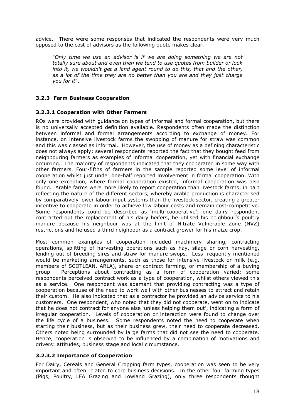advice. There were some responses that indicated the respondents were very much opposed to the cost of advisors as the following quote makes clear.

"*Only time we use an advisor is if we are doing something we are not totally sure about and even then we tend to use quotes from builder or look into it, we wouldn't get a land agent round to do this, that and the other, as a lot of the time they are no better than you are and they just charge you for it*".

## <span id="page-17-0"></span>**3.2.3 Farm Business Cooperation**

## **3.2.3.1 Cooperation with Other Farmers**

ROs were provided with guidance on types of informal and formal cooperation, but there is no universally accepted definition available. Respondents often made the distinction between informal and formal arrangements according to exchange of money. For instance, on intensive livestock farms the swopping of manure for straw was common and this was classed as informal. However, the use of money as a defining characteristic does not always apply; several respondents reported the fact that they bought feed from neighbouring farmers as examples of informal cooperation, yet with financial exchange occurring. The majority of respondents indicated that they cooperated in some way with other farmers. Four-fifths of farmers in the sample reported some level of informal cooperation whilst just under one-half reported involvement in formal cooperation. With only one exception, where formal cooperation existed, informal cooperation was also found. Arable farms were more likely to report cooperation than livestock farms, in part reflecting the nature of the different sectors, whereby arable production is characterised by comparatively lower labour input systems than the livestock sector, creating a greater incentive to cooperate in order to achieve low labour costs and remain cost-competitive. Some respondents could be described as 'multi-cooperative'; one dairy respondent contracted out the replacement of his dairy heifers, he utilised his neighbour's poultry manure because his neighbour was at the limit of Nitrate Vulnerable Zone (NVZ) restrictions and he used a third neighbour as a contract grower for his maize crop.

Most common examples of cooperation included machinery sharing, contracting operations, splitting of harvesting operations such as hay, silage or corn harvesting, lending out of breeding sires and straw for manure swops. Less frequently mentioned would be marketing arrangements, such as those for intensive livestock or milk (e.g. members of SCOTLEAN, ARLA), share or contract farming, or membership of a buying group. Perceptions about contracting as a form of cooperation varied; some respondents perceived contract work as a type of cooperation, whilst others viewed this as a service. One respondent was adamant that providing contracting was a type of cooperation because of the need to work well with other businesses to attract and retain their custom. He also indicated that as a contractor he provided an advice service to his customers. One respondent, who noted that they did not cooperate, went on to indicate that he does not contract for anyone else 'unless helping them out', indicating a form of irregular cooperation. Levels of cooperation or interaction were found to change over the life cycle of a business. Some respondents noted the need to cooperate when starting their business, but as their business grew, their need to cooperate decreased. Others noted being surrounded by large farms that did not see the need to cooperate. Hence, cooperation is observed to be influenced by a combination of motivations and drivers: attitudes, business stage and local circumstance.

## **3.2.3.2 Importance of Cooperation**

For Dairy, Cereals and General Cropping farm types, cooperation was seen to be very important and often related to core business decisions. In the other four farming types (Pigs, Poultry, LFA Grazing and Lowland Grazing), only three respondents thought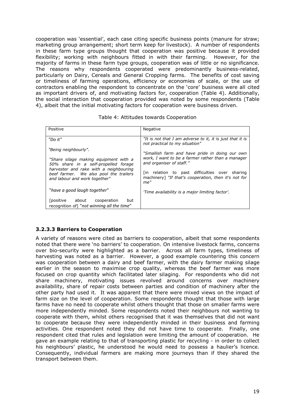cooperation was 'essential', each case citing specific business points (manure for straw; marketing group arrangement; short term keep for livestock). A number of respondents in these farm type groups thought that cooperation was positive because it provided flexibility; working with neighbours fitted in with their farming. However, for the majority of farms in these farm type groups, cooperation was of little or no significance. The reasons why respondents cooperated were predominantly business-related, particularly on Dairy, Cereals and General Cropping farms. The benefits of cost saving or timeliness of farming operations, efficiency or economies of scale, or the use of contractors enabling the respondent to concentrate on the 'core' business were all cited as important drivers of, and motivating factors for, cooperation (Table 4). Additionally, the social interaction that cooperation provided was noted by some respondents (Table 4), albeit that the initial motivating factors for cooperation were business driven.

| Positive                                                                                                          | Negative                                                                                                      |  |
|-------------------------------------------------------------------------------------------------------------------|---------------------------------------------------------------------------------------------------------------|--|
| "Do it"                                                                                                           | "It is not that I am adverse to it, it is just that it is<br>not practical to my situation"                   |  |
| "Being neighbourly".                                                                                              | "Smallish farm and have pride in doing our own                                                                |  |
| "Share silage making equipment with a<br>50% share in a self-propelled forage                                     | work, I want to be a farmer rather than a manager<br>and organiser of staff."                                 |  |
| harvester and rake with a neighbouring<br>beef farmer. We also pool the trailers<br>and labour and work together" | [in relation to past difficulties over sharing<br>machinery] "If that's cooperation, then it's not for<br>me" |  |
| "have a good laugh together"                                                                                      | 'Time availability is a major limiting factor'.                                                               |  |
| [positive about cooperation<br>but<br>recognition of] "not winning all the time"                                  |                                                                                                               |  |

| Table 4: Attitudes towards Cooperation |  |
|----------------------------------------|--|
|----------------------------------------|--|

# **3.2.3.3 Barriers to Cooperation**

A variety of reasons were cited as barriers to cooperation, albeit that some respondents noted that there were 'no barriers' to cooperation. On intensive livestock farms, concerns over bio-security were highlighted as a barrier. Across all farm types, timeliness of harvesting was noted as a barrier. However, a good example countering this concern was cooperation between a dairy and beef farmer, with the dairy farmer making silage earlier in the season to maximise crop quality, whereas the beef farmer was more focused on crop quantity which facilitated later silaging. For respondents who did not share machinery, motivating issues revolved around concerns over machinery availability, share of repair costs between parties and condition of machinery after the other party had used it. It was apparent that there were mixed views on the impact of farm size on the level of cooperation. Some respondents thought that those with large farms have no need to cooperate whilst others thought that those on smaller farms were more independently minded. Some respondents noted their neighbours not wanting to cooperate with them, whilst others recognised that it was themselves that did not want to cooperate because they were independently minded in their business and farming activities. One respondent noted they did not have time to cooperate. Finally, one respondent cited that rules and legislation were limiting the amount of cooperation. He gave an example relating to that of transporting plastic for recycling - in order to collect his neighbours' plastic, he understood he would need to possess a haulier's licence. Consequently, individual farmers are making more journeys than if they shared the transport between them.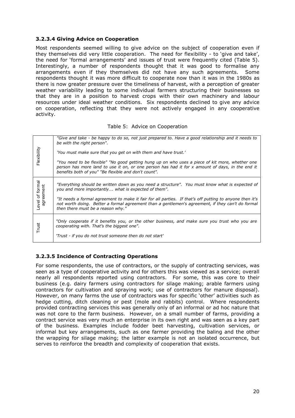#### **3.2.3.4 Giving Advice on Cooperation**

Most respondents seemed willing to give advice on the subject of cooperation even if they themselves did very little cooperation. The need for flexibility - to 'give and take', the need for 'formal arrangements' and issues of trust were frequently cited (Table 5). Interestingly, a number of respondents thought that it was good to formalise any arrangements even if they themselves did not have any such agreements. Some respondents thought it was more difficult to cooperate now than it was in the 1980s as there is now greater pressure over the timeliness of harvest, with a perception of greater weather variability leading to some individual farmers structuring their businesses so that they are in a position to harvest crops with their own machinery and labour resources under ideal weather conditions. Six respondents declined to give any advice on cooperation, reflecting that they were not actively engaged in any cooperative activity.

#### Table 5: Advice on Cooperation

| Flexibility                  | "Give and take - be happy to do so, not just prepared to. Have a good relationship and it needs to<br>be with the right person".<br>'You must make sure that you get on with them and have trust.'<br>"You need to be flexible" "No good getting hung up on who uses a piece of kit more, whether one<br>person has more land to use it on, or one person has had it for x amount of days, in the end it<br>benefits both of you" "Be flexible and don't count". |
|------------------------------|------------------------------------------------------------------------------------------------------------------------------------------------------------------------------------------------------------------------------------------------------------------------------------------------------------------------------------------------------------------------------------------------------------------------------------------------------------------|
| Level of formal<br>agreement | "Everything should be written down as you need a structure". You must know what is expected of<br>you and more importantly, what is expected of them".<br>"It needs a formal agreement to make it fair for all parties. If that's off putting to anyone then it's<br>not worth doing. Better a formal agreement than a gentlemen's agreement, if they can't do formal<br>then there must be a reason why."                                                       |
| Trust                        | "Only cooperate if it benefits you, or the other business, and make sure you trust who you are<br>cooperating with. That's the biggest one".<br>'Trust - if you do not trust someone then do not start'                                                                                                                                                                                                                                                          |

## **3.2.3.5 Incidence of Contracting Operations**

For some respondents, the use of contractors, or the supply of contracting services, was seen as a type of cooperative activity and for others this was viewed as a service; overall nearly all respondents reported using contractors. For some, this was core to their business (e.g. dairy farmers using contractors for silage making; arable farmers using contractors for cultivation and spraying work; use of contractors for manure disposal). However, on many farms the use of contractors was for specific 'other' activities such as hedge cutting, ditch cleaning or pest (mole and rabbits) control. Where respondents provided contracting services this was generally only of an informal or ad hoc nature that was not core to the farm business. However, on a small number of farms, providing a contract service was very much an enterprise in its own right and was seen as a key part of the business. Examples include fodder beet harvesting, cultivation services, or informal but key arrangements, such as one farmer providing the baling and the other the wrapping for silage making; the latter example is not an isolated occurrence, but serves to reinforce the breadth and complexity of cooperation that exists.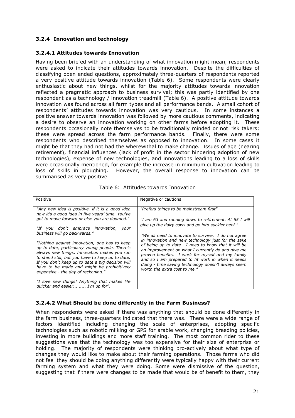# <span id="page-20-0"></span>**3.2.4 Innovation and technology**

## **3.2.4.1 Attitudes towards Innovation**

Having been briefed with an understanding of what innovation might mean, respondents were asked to indicate their attitudes towards innovation. Despite the difficulties of classifying open ended questions, approximately three-quarters of respondents reported a very positive attitude towards innovation (Table 6). Some respondents were clearly enthusiastic about new things, whilst for the majority attitudes towards innovation reflected a pragmatic approach to business survival; this was partly identified by one respondent as a technology / innovation treadmill (Table 6). A positive attitude towards innovation was found across all farm types and all performance bands. A small cohort of respondents' attitudes towards innovation was very cautious. In some instances a positive answer towards innovation was followed by more cautious comments, indicating a desire to observe an innovation working on other farms before adopting it. These respondents occasionally note themselves to be traditionally minded or not risk takers; these were spread across the farm performance bands. Finally, there were some respondents who described themselves as opposed to innovation. In some cases it might be that they had not had the wherewithal to make change. Issues of age (nearing retirement), financial influences (lack of profit in the sector hindering adoption of new technologies), expense of new technologies, and innovations leading to a loss of skills were occasionally mentioned, for example the increase in minimum cultivation leading to loss of skills in ploughing. However, the overall response to innovation can be summarised as very positive.

| Positive                                                                                                                                                                                                                                                                                                                                  | Negative or cautions                                                                                                                                                                                                                                                                                                                                          |
|-------------------------------------------------------------------------------------------------------------------------------------------------------------------------------------------------------------------------------------------------------------------------------------------------------------------------------------------|---------------------------------------------------------------------------------------------------------------------------------------------------------------------------------------------------------------------------------------------------------------------------------------------------------------------------------------------------------------|
| "Any new idea is positive, if it is a good idea<br>now it's a good idea in five years' time. You've                                                                                                                                                                                                                                       | "Prefers things to be mainstream first".                                                                                                                                                                                                                                                                                                                      |
| got to move forward or else you are doomed."                                                                                                                                                                                                                                                                                              | "I am 63 and running down to retirement. At 65 I will                                                                                                                                                                                                                                                                                                         |
| "If you don't embrace innovation, your                                                                                                                                                                                                                                                                                                    | give up the dairy cows and go into suckler beef."                                                                                                                                                                                                                                                                                                             |
| business will go backwards."                                                                                                                                                                                                                                                                                                              | "We all need to innovate to survive. I do not agree                                                                                                                                                                                                                                                                                                           |
| "Nothing against innovation, one has to keep<br>up to date, particularly young people. There's<br>always new things. Innovation makes you run<br>to stand still, but you have to keep up to date.<br>If you don't keep up to date a big decision will<br>have to be made and might be prohibitively<br>expensive - the day of reckoning." | in innovation and new technology just for the sake<br>of being up to date. I need to know that it will be<br>an improvement on what I currently do and give me<br>proven benefits. I work for myself and my family<br>and so I am prepared to fit work in when it needs<br>doing - time saving technology doesn't always seem<br>worth the extra cost to me." |
| "I love new things! Anything that makes life<br>quicker and easier I'm up for".                                                                                                                                                                                                                                                           |                                                                                                                                                                                                                                                                                                                                                               |

|  |  |  | Table 6: Attitudes towards Innovation |
|--|--|--|---------------------------------------|
|--|--|--|---------------------------------------|

## **3.2.4.2 What Should be done differently in the Farm Business?**

When respondents were asked if there was anything that should be done differently in the farm business, three-quarters indicated that there was. There were a wide range of factors identified including changing the scale of enterprises, adopting specific technologies such as robotic milking or GPS for arable work, changing breeding policies, investing in more buildings and more staff training. The most common rider to these suggestions was that the technology was too expensive for their size of enterprise or holding. The majority of respondents were thinking pro-actively about what type of changes they would like to make about their farming operations. Those farms who did not feel they should be doing anything differently were typically happy with their current farming system and what they were doing. Some were dismissive of the question, suggesting that if there were changes to be made that would be of benefit to them, they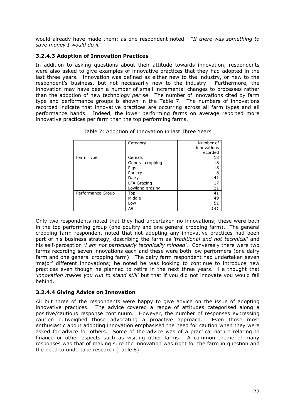would already have made them; as one respondent noted - *"If there was something to save money I would do it"*

## **3.2.4.3 Adoption of Innovation Practices**

In addition to asking questions about their attitude towards innovation, respondents were also asked to give examples of innovative practices that they had adopted in the last three years. Innovation was defined as either new to the industry, or new to the respondent's business, but not necessarily new to the industry. Furthermore, the innovation may have been a number of small incremental changes to processes rather than the adoption of new technology *per se*. The number of innovations cited by farm type and performance groups is shown in the Table 7. The numbers of innovations recorded indicate that innovative practices are occurring across all farm types and all performance bands. Indeed, the lower performing farms on average reported more innovative practices per farm than the top performing farms.

|                   | Category           | Number of   |
|-------------------|--------------------|-------------|
|                   |                    | innovations |
|                   |                    | recorded    |
| Farm Type         | Cereals            |             |
|                   | General cropping   | 18          |
|                   | Pigs               | 18          |
|                   | Poultry            | 8           |
|                   | Dairy              | 41          |
|                   | <b>LFA Grazing</b> | 17          |
|                   | Lowland grazing    | 21          |
| Performance Group | Top                | 41          |
|                   | Middle             | 49          |
|                   | Low                | 51          |
|                   | All                | 141         |

| Table 7: Adoption of Innovation in last Three Years |  |  |  |  |  |
|-----------------------------------------------------|--|--|--|--|--|
|-----------------------------------------------------|--|--|--|--|--|

Only two respondents noted that they had undertaken no innovations; these were both in the top performing group (one poultry and one general cropping farm). The general cropping farm respondent noted that not adopting any innovative practices had been part of his business strategy, describing the farm as *'traditional and not technical'* and his self-perception *'I am not particularly technically minded'.* Conversely there were two farms recording seven innovations each and these were both low performers (one dairy farm and one general cropping farm). The dairy farm respondent had undertaken seven 'major' different innovations; he noted he was looking to continue to introduce new practices even though he planned to retire in the next three years. He thought that '*innovation makes you run to stand still'* but that if you did not innovate you would fall behind.

## **3.2.4.4 Giving Advice on Innovation**

All but three of the respondents were happy to give advice on the issue of adopting innovative practices. The advice covered a range of attitudes categorised along a positive/cautious response continuum. However, the number of responses expressing caution outweighed those advocating a proactive approach. Even those most enthusiastic about adopting innovation emphasised the need for caution when they were asked for advice for others. Some of the advice was of a practical nature relating to finance or other aspects such as visiting other farms. A common theme of many responses was that of making sure the innovation was right for the farm in question and the need to undertake research (Table 8).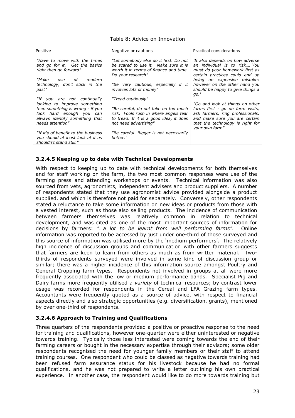| Positive                                                                                                                                                                          | Negative or cautions                                                                                                                                                     | Practical considerations                                                                                                                                                                       |
|-----------------------------------------------------------------------------------------------------------------------------------------------------------------------------------|--------------------------------------------------------------------------------------------------------------------------------------------------------------------------|------------------------------------------------------------------------------------------------------------------------------------------------------------------------------------------------|
| "Have to move with the times<br>and go for it. Get the basics<br>right then go forward".<br>"Make<br>of<br>modern<br>use                                                          | "Let somebody else do it first. Do not<br>be scared to use it. Make sure it is<br>worth it in terms of finance and time.<br>Do your research".                           | 'It also depends on how adverse<br>an individual is to riskYou<br>must do your homework first as<br>certain practices could end up<br>being an expensive mistake;                              |
| technology, don't stick in the<br>past"                                                                                                                                           | "Be very cautious, especially if it<br>involves lots of money"                                                                                                           | however on the other hand you<br>should be happy to give things a<br>go.'                                                                                                                      |
| "If you are not continually<br>looking to improve something<br>then something is wrong - if you<br>look hard enough you can<br>always identify something that<br>needs attention" | "Tread cautiously"<br>"Be careful, do not take on too much<br>risk. Fools rush in where angels fear<br>to tread. If it is a good idea, it does<br>not need advertising". | "Go and look at things on other<br>farms first - go on farm visits,<br>ask farmers, ring professionals,<br>and make sure you are certain<br>that the technology is right for<br>your own farm" |
| "If it's of benefit to the business<br>you should at least look at it as<br>shouldn't stand still."                                                                               | "Be careful. Bigger is not necessarily<br>better."                                                                                                                       |                                                                                                                                                                                                |

## **3.2.4.5 Keeping up to date with Technical Developments**

With respect to keeping up to date with technical developments for both themselves and for staff working on the farm, the two most common responses were use of the farming press and attending workshops or events. Technical information was also sourced from vets, agronomists, independent advisers and product suppliers. A number of respondents stated that they use agronomist advice provided alongside a product supplied, and which is therefore not paid for separately. Conversely, other respondents stated a reluctance to take some information on new ideas or products from those with a vested interest, such as those also selling products. The incidence of communication between farmers themselves was relatively common in relation to technical development, and was cited as one of the most important sources of information for decisions by farmers: *"…a lot to be learnt from well performing farms".* Online information was reported to be accessed by just under one-third of those surveyed and this source of information was utilised more by the 'medium performers'. The relatively high incidence of discussion groups and communication with other farmers suggests that farmers are keen to learn from others as much as from written material. Twothirds of respondents surveyed were involved in some kind of discussion group or similar; there was a higher incidence of this information source amongst Poultry and General Cropping farm types. Respondents not involved in groups at all were more frequently associated with the low or medium performance bands. Specialist Pig and Dairy farms more frequently utilised a *variety* of technical resources; by contrast lower usage was recorded for respondents in the Cereal and LFA Grazing farm types. Accountants were frequently quoted as a source of advice, with respect to financial aspects directly and also strategic opportunities (e.g. diversification, grants), mentioned by over one-third of respondents.

#### **3.2.4.6 Approach to Training and Qualifications**

Three quarters of the respondents provided a positive or proactive response to the need for training and qualifications, however one-quarter were either uninterested or negative towards training. Typically those less interested were coming towards the end of their farming careers or bought in the necessary expertise through their advisors; some older respondents recognised the need for younger family members or their staff to attend training courses. One respondent who could be classed as negative towards training had been refused farm assurance status for his livestock because he had no formal qualifications, and he was not prepared to write a letter outlining his own practical experience. In another case, the respondent would like to do more towards training but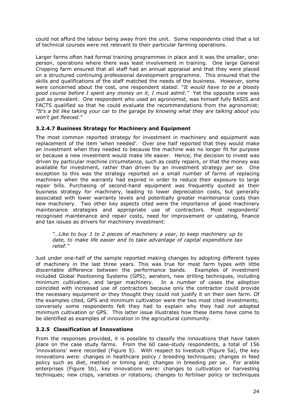could not afford the labour being away from the unit. Some respondents cited that a lot of technical courses were not relevant to their particular farming operations.

Larger farms often had formal training programmes in place and it was the smaller, oneperson, operations where there was least involvement in training. One large General Cropping farm ensured that all staff had an annual appraisal and that they were placed on a structured continuing professional development programme. This ensured that the skills and qualifications of the staff matched the needs of the business. However, some were concerned about the cost, one respondent stated: "*It would have to be a bloody good course before I spent any money on it, I must admit."* Yet the opposite view was just as prevalent. One respondent who used an agronomist, was himself fully BASIS and FACTS qualified so that he could evaluate the recommendations from the agronomist: *"It's a bit like taking your car to the garage by knowing what they are talking about you won't get fleeced."*

## **3.2.4.7 Business Strategy for Machinery and Equipment**

The most common reported strategy for investment in machinery and equipment was replacement of the item 'when needed'. Over one half reported that they would make an investment when they needed to because the machine was no longer fit for purpose or because a new investment would make life easier. Hence, the decision to invest was driven by particular machine circumstance, such as costly repairs, or that the money was available for investment, rather than driven by an investment strategy *per se.* One exception to this was the strategy reported on a small number of farms of replacing machinery when the warranty had expired in order to reduce their exposure to large repair bills. Purchasing of second-hand equipment was frequently quoted as their business strategy for machinery, leading to lower depreciation costs, but generally associated with lower warranty levels and potentially greater maintenance costs than new machinery. Two other key aspects cited were the importance of good machinery maintenance strategies and appropriate use of contractors. Most respondents' recognised maintenance and repair costs, need for improvement or updating, finance and tax issues as drivers for machinery investment:

*"…Like to buy 1 to 2 pieces of machinery a year, to keep machinery up to date, to make life easier and to take advantage of capital expenditure tax relief."*

Just under one-half of the sample reported making changes by adopting different types of machinery in the last three years. This was true for most farm types with little discernable difference between the performance bands. Examples of investment included Global Positioning Systems (GPS), aerators, new drilling techniques, including minimum cultivation, and larger machinery. In a number of cases the adoption coincided with increased use of contractors because only the contractor could provide the necessary equipment or they thought they could not justify it on their own farm. Of the examples cited, GPS and minimum cultivation were the two most cited investments; conversely some respondents felt they had to explain why they had *not* adopted minimum cultivation or GPS. This latter issue illustrates how these items have come to be identified as examples of innovation in the agricultural community.

## <span id="page-23-0"></span>**3.2.5 Classification of Innovations**

From the responses provided, it is possible to classify the innovations that have taken place on the case study farms. From the 60 case-study respondents, a total of 156 'innovations' were recorded (Figure 5). With respect to livestock (Figure 5a), the key innovations were: changes in healthcare policy / breeding techniques; changes in feed policy such as diet, method or timing and; changes in breeding *per se*. For arable enterprises (Figure 5b), key innovations were: changes to cultivation or harvesting techniques; new crops, varieties or rotations; changes to fertiliser policy or techniques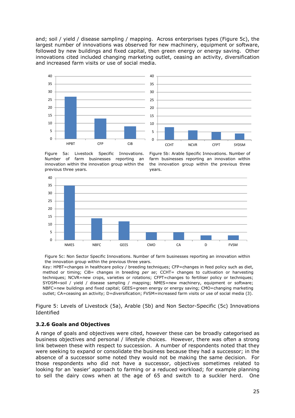and; soil / yield / disease sampling / mapping. Across enterprises types (Figure 5c), the largest number of innovations was observed for new machinery, equipment or software, followed by new buildings and fixed capital, then green energy or energy saving. Other innovations cited included changing marketing outlet, ceasing an activity, diversification and increased farm visits or use of social media.



Figure 5a: Livestock Specific Innovations. Number of farm businesses reporting an innovation within the innovation group within the previous three years.

Figure 5b: Arable Specific Innovations. Number of farm businesses reporting an innovation within the innovation group within the previous three years.



Figure 5c: Non Sector Specific Innovations. Number of farm businesses reporting an innovation within the innovation group within the previous three years.

Key: HPBT=changes in healthcare policy / breeding techniques; CFP=changes in feed policy such as diet, method or timing; CiB= changes in breeding *per se*; CCHT= changes to cultivation or harvesting techniques; NCVR=new crops, varieties or rotations; CFPT=changes to fertiliser policy or techniques; SYDSM=soil / yield / disease sampling / mapping; NMES=new machinery, equipment or software; NBFC=new buildings and fixed capital; GEES=green energy or energy saving; CMO=changing marketing outlet; CA=ceasing an activity; D=diversification; FVSM=increased farm visits or use of social media (3).

<span id="page-24-0"></span>Figure 5: Levels of Livestock (5a), Arable (5b) and Non Sector-Specific (5c) Innovations Identified

## **3.2.6 Goals and Objectives**

A range of goals and objectives were cited, however these can be broadly categorised as business objectives and personal / lifestyle choices. However, there was often a strong link between these with respect to succession. A number of respondents noted that they were seeking to expand or consolidate the business because they had a successor; in the absence of a successor some noted they would not be making the same decision. For those respondents who did not have a successor, objectives sometimes related to looking for an 'easier' approach to farming or a reduced workload; for example planning to sell the dairy cows when at the age of 65 and switch to a suckler herd. One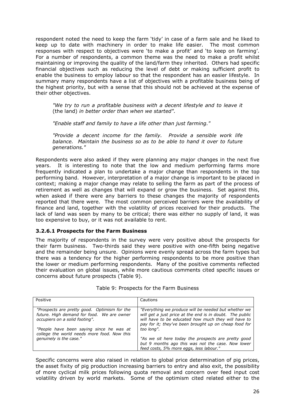respondent noted the need to keep the farm 'tidy' in case of a farm sale and he liked to keep up to date with machinery in order to make life easier. The most common responses with respect to objectives were 'to make a profit' and 'to keep on farming'. For a number of respondents, a common theme was the need to make a profit whilst maintaining or improving the quality of the land/farm they inherited. Others had specific financial objectives such as reducing the level of debt or making sufficient profit to enable the business to employ labour so that the respondent has an easier lifestyle. In summary many respondents have a list of objectives with a profitable business being of the highest priority, but with a sense that this should not be achieved at the expense of their other objectives.

*"We try to run a profitable business with a decent lifestyle and to leave it* (the land) *in better order than when we started".*

*"Enable staff and family to have a life other than just farming."*

*"Provide a decent income for the family. Provide a sensible work life balance. Maintain the business so as to be able to hand it over to future generations."*

Respondents were also asked if they were planning any major changes in the next five years. It is interesting to note that the low and medium performing farms more frequently indicated a plan to undertake a major change than respondents in the top performing band. However, interpretation of a major change is important to be placed in context; making a major change may relate to selling the farm as part of the process of retirement as well as changes that will expand or grow the business. Set against this, when asked if there were any barriers to these changes the majority of respondents reported that there were. The most common perceived barriers were the availability of finance and land, together with the volatility of prices received for their products. The lack of land was seen by many to be critical; there was either no supply of land, it was too expensive to buy, or it was not available to rent.

## **3.2.6.1 Prospects for the Farm Business**

The majority of respondents in the survey were very positive about the prospects for their farm business. Two-thirds said they were positive with one-fifth being negative and the remainder being unsure. Opinions were evenly spread across the farm types but there was a tendency for the higher performing respondents to be more positive than the lower or medium performing respondents. Many of the positive comments reflected their evaluation on global issues, while more cautious comments cited specific issues or concerns about future prospects (Table 9).

| Positive                                                                                                                     | Cautions                                                                                                                                                                                                                         |
|------------------------------------------------------------------------------------------------------------------------------|----------------------------------------------------------------------------------------------------------------------------------------------------------------------------------------------------------------------------------|
| "Prospects are pretty good. Optimism for the<br>future. High demand for food. We are owner<br>occupiers on a solid footing". | "Everything we produce will be needed but whether we<br>will get a just price at the end is in doubt. The public<br>will have to be educated how much they will have to<br>pay for it; they've been brought up on cheap food for |
| "People have been saying since he was at<br>college the world needs more food. Now this                                      | too long".                                                                                                                                                                                                                       |
| genuinely is the case."                                                                                                      | "As we sit here today the prospects are pretty good<br>but 9 months ago this was not the case. Now lower<br>feed costs, 5% more eggs, less labour."                                                                              |

#### Table 9: Prospects for the Farm Business

Specific concerns were also raised in relation to global price determination of pig prices, the asset fixity of pig production increasing barriers to entry and also exit, the possibility of more cyclical milk prices following quota removal and concern over feed input cost volatility driven by world markets. Some of the optimism cited related either to the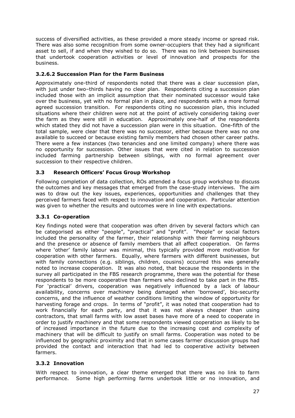success of diversified activities, as these provided a more steady income or spread risk. There was also some recognition from some owner-occupiers that they had a significant asset to sell, if and when they wished to do so. There was no link between businesses that undertook cooperation activities or level of innovation and prospects for the business.

## **3.2.6.2 Succession Plan for the Farm Business**

Approximately one-third of respondents noted that there was a clear succession plan, with just under two-thirds having no clear plan. Respondents citing a succession plan included those with an implicit assumption that their nominated successor would take over the business, yet with no formal plan in place, and respondents with a more formal agreed succession transition. For respondents citing no succession plan, this included situations where their children were not at the point of actively considering taking over the farm as they were still in education. Approximately one-half of the respondents which stated they did not have a succession plan were in this situation. One-fifth of the total sample, were clear that there was no successor, either because there was no one available to succeed or because existing family members had chosen other career paths. There were a few instances (two tenancies and one limited company) where there was no opportunity for succession. Other issues that were cited in relation to succession included farming partnership between siblings, with no formal agreement over succession to their respective children.

## <span id="page-26-0"></span>**3.3 Research Officers' Focus Group Workshop**

Following completion of data collection, ROs attended a focus group workshop to discuss the outcomes and key messages that emerged from the case-study interviews. The aim was to draw out the key issues, experiences, opportunities and challenges that they perceived farmers faced with respect to innovation and cooperation. Particular attention was given to whether the results and outcomes were in line with expectations.

# <span id="page-26-1"></span>**3.3.1 Co-operation**

Key findings noted were that cooperation was often driven by several factors which can be categorised as either "people", "practical" and "profit". "People" or social factors included the personality of the farmer, their relationship with their farming neighbours and the presence or absence of family members that all affect cooperation. On farms where 'other' family labour was minimal, this typically provided more motivation for cooperation with other farmers. Equally, where farmers with different businesses, but with family connections (e.g. siblings, children, cousins) occurred this was generally noted to increase cooperation. It was also noted, that because the respondents in the survey all participated in the FBS research programme, there was the potential for these respondents to be more cooperative than farmers who declined to take part in the FBS. For 'practical' drivers, cooperation was negatively influenced by a lack of labour availability, concerns over machinery being damaged when 'borrowed', bio-security concerns, and the influence of weather conditions limiting the window of opportunity for harvesting forage and crops. In terms of "profit", it was noted that cooperation had to work financially for each party, and that it was not always cheaper than using contractors, that small farms with low asset bases have more of a need to cooperate in order to justify machinery and that some respondents viewed cooperation as likely to be of increased importance in the future due to the increasing cost and complexity of machinery that will be difficult to justify on small farms. Cooperation was noted to be influenced by geographic proximity and that in some cases farmer discussion groups had provided the contact and interaction that had led to cooperative activity between farmers.

## <span id="page-26-2"></span>**3.3.2 Innovation**

With respect to innovation, a clear theme emerged that there was no link to farm performance. Some high performing farms undertook little or no innovation, and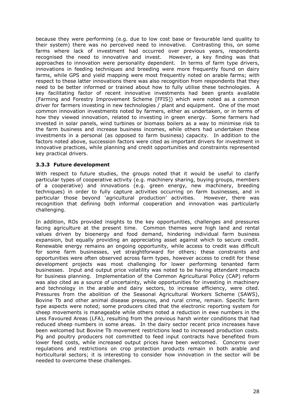because they were performing (e.g. due to low cost base or favourable land quality to their system) there was no perceived need to innovative. Contrasting this, on some farms where lack of investment had occurred over previous years, respondents recognised the need to innovative and invest. However, a key finding was that approaches to innovation were personality dependent. In terms of farm type drivers, innovations in feeding techniques and breeding were more frequently found on dairy farms, while GPS and yield mapping were most frequently noted on arable farms; with respect to these latter innovations there was also recognition from respondents that they need to be better informed or trained about how to fully utilise these technologies. A key facilitating factor of recent innovative investments had been grants available (Farming and Forestry Improvement Scheme [FFIS]) which were noted as a common driver for farmers investing in new technologies / plant and equipment. One of the most common innovation investments noted by farmers, either as undertaken, or in terms of how they viewed innovation, related to investing in green energy. Some farmers had invested in solar panels, wind turbines or biomass boilers as a way to minimise risk to the farm business and increase business incomes, while others had undertaken these investments in a personal (as opposed to farm business) capacity. In addition to the factors noted above, succession factors were cited as important drivers for investment in innovative practices, while planning and credit opportunities and constraints represented key practical drivers.

## <span id="page-27-0"></span>**3.3.3 Future development**

With respect to future studies, the groups noted that it would be useful to clarify particular types of cooperative activity (e.g. machinery sharing, buying groups, members of a cooperative) and innovations (e.g. green energy, new machinery, breeding techniques) in order to fully capture activities occurring on farm businesses, and in particular those beyond 'agricultural production' activities. However, there was recognition that defining both informal cooperation and innovation was particularly challenging.

In addition, ROs provided insights to the key opportunities, challenges and pressures facing agriculture at the present time. Common themes were high land and rental values driven by bioenergy and food demand, hindering individual farm business expansion, but equally providing an appreciating asset against which to secure credit. Renewable energy remains an ongoing opportunity, while access to credit was difficult for some farm businesses, yet straightforward for others; these constraints and opportunities were often observed across farm types, however access to credit for these development projects was most challenging for lower performing tenanted farm businesses. Input and output price volatility was noted to be having attendant impacts for business planning. Implementation of the Common Agricultural Policy (CAP) reform was also cited as a source of uncertainty, while opportunities for investing in machinery and technology in the arable and dairy sectors, to increase efficiency, were cited. Pressures from the abolition of the Seasonal Agricultural Workers Scheme (SAWS), Bovine Tb and other animal disease pressures, and rural crime, remain. Specific farm type aspects were noted; some producers cited that the electronic reporting system for sheep movements is manageable while others noted a reduction in ewe numbers in the Less Favoured Areas (LFA), resulting from the previous harsh winter conditions that had reduced sheep numbers in some areas. In the dairy sector recent price increases have been welcomed but Bovine Tb movement restrictions lead to increased production costs. Pig and poultry producers not committed to feed input contracts have benefited from lower feed costs, while increased output prices have been welcomed. Concerns over regulations and restrictions on crop protection products remain in both arable and horticultural sectors; it is interesting to consider how innovation in the sector will be needed to overcome these challenges.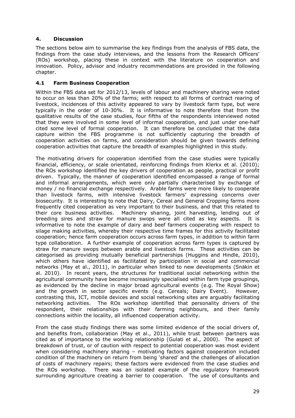## <span id="page-28-0"></span>**4. Discussion**

The sections below aim to summarise the key findings from the analysis of FBS data, the findings from the case study interviews, and the lessons from the Research Officers' (ROs) workshop, placing these in context with the literature on cooperation and innovation. Policy, advisor and industry recommendations are provided in the following chapter.

## <span id="page-28-1"></span>**4.1 Farm Business Cooperation**

Within the FBS data set for 2012/13, levels of labour and machinery sharing were noted to occur on less than 20% of the farms; with respect to all forms of contract rearing of livestock, incidences of this activity appeared to vary by livestock farm type, but were typically in the order of 10-30%. It is informative to note therefore that from the qualitative results of the case studies, four fifths of the respondents interviewed noted that they were involved in some level of informal cooperation, and just under one-half cited some level of formal cooperation. It can therefore be concluded that the data capture within the FBS programme is not sufficiently capturing the breadth of cooperation activities on farms, and consideration should be given towards defining cooperation activities that capture the breadth of examples highlighted in this study.

The motivating drivers for cooperation identified from the case studies were typically financial, efficiency, or scale orientated, reinforcing findings from Klerkx et al. (2010); the ROs workshop identified the key drivers of cooperation as people, practical or profit driven. Typically, the manner of cooperation identified encompassed a range of formal and informal arrangements, which were only partially characterised by exchange of money / no financial exchange respectively. Arable farms were more likely to cooperate than livestock farms, with intensive livestock farmers' expressing concerns over biosecurity. It is interesting to note that Dairy, Cereal and General Cropping farms more frequently cited cooperation as very important to their business, and that this related to their core business activities. Machinery sharing, joint harvesting, lending out of breeding sires and straw for manure swops were all cited as key aspects. It is informative to note the example of dairy and beef farmers cooperating with respect to silage making activities, whereby their respective time frames for this activity facilitated cooperation; hence farm cooperation occurs across farm types, in addition to within farm type collaboration. A further example of cooperation across farm types is captured by straw for manure swops between arable and livestock farms. These activities can be categorised as providing mutually beneficial partnerships (Huggins and Hindle, 2010), which others have identified as facilitated by participation in social and commercial networks (May et al., 2011), in particular when linked to new developments (Snäkin et al. 2010). In recent years, the structures for traditional social networking within the agricultural community have become increasingly specialised within farm type groupings, as evidenced by the decline in major broad agricultural events (e.g. The Royal Show) and the growth in sector specific events (e.g. Cereals; Dairy Event). However, contrasting this, ICT, mobile devices and social networking sites are arguably facilitating networking activities. The ROs workshop identified that personality drivers of the respondent, their relationships with their farming neighbours, and their family connections within the locality, all influenced cooperation activity.

From the case study findings there was some limited evidence of the social drivers of, and benefits from, collaboration (May et al., 2011), while trust between partners was cited as of importance to the working relationship (Gulati et al., 2000). The aspect of breakdown of trust, or of caution with respect to potential cooperation was most evident when considering machinery sharing – motivating factors against cooperation included condition of the machinery on return from being 'shared' and the challenges of allocation of costs of machinery repairs; these factors were evidenced from the case studies and the ROs workshop. There was an isolated example of the regulatory framework surrounding agriculture creating a barrier to cooperation. The use of consultants and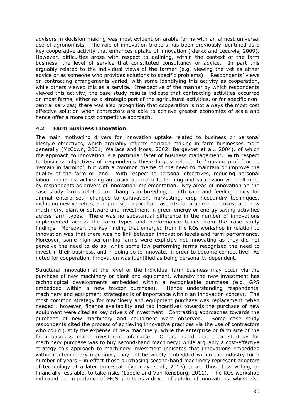advisors in decision making was most evident on arable farms with an almost universal use of agronomists. The role of innovation brokers has been previously identified as a key cooperative activity that enhances uptake of innovation (Klerkx and Leeuwis, 2009). However, difficulties arose with respect to defining, within the context of the farm business, the level of service that constituted consultancy or advice. In part this arguably related to the individual views of the farmer (e.g. viewing the vet as either advice or as someone who provides solutions to specific problems). Respondents' views on contracting arrangements varied, with some identifying this activity as cooperation, while others viewed this as a service. Irrespective of the manner by which respondents viewed this activity, the case study results indicate that contracting activities occurred on most farms, either as a strategic part of the agricultural activities, or for specific noncentral services; there was also recognition that cooperation is not always the most cost effective solution when contractors are able to achieve greater economies of scale and hence offer a more cost competitive approach.

## <span id="page-29-0"></span>**4.2 Farm Business Innovation**

The main motivating drivers for innovation uptake related to business or personal lifestyle objectives, which arguably reflects decision making in farm businesses more generally (McCown, 2001; Wallace and Moss, 2002; Bergevoet et al., 2004), of which the approach to innovation is a particular facet of business management. With respect to business objectives of respondents these largely related to 'making profit' or to 'remain in farming', but with a common theme of the need to maintain or improve the quality of the farm or land. With respect to personal objectives, reducing personal labour demands, achieving an easier approach to farming and succession were all cited by respondents as drivers of innovation implementation. Key areas of innovation on the case study farms related to: changes in breeding, health care and feeding policy for animal enterprises; changes to cultivation, harvesting, crop husbandry techniques, including new varieties, and precision agriculture aspects for arable enterprises; and new machinery, plant or software and investment in green energy or energy saving activities across farm types. There was no substantial difference in the number of innovations implemented across the farm types and performance bands from the case study findings. Moreover, the key finding that emerged from the ROs workshop in relation to innovation was that there was no link between innovation levels and farm performance. Moreover, some high performing farms were explicitly not innovating as they did not perceive the need to do so, while some low performing farms recognised the need to invest in their business, and in doing so to innovate, in order to become competitive. As noted for cooperation, innovation was identified as being personality dependent.

Structural innovation at the level of the individual farm business may occur via the purchase of new machinery or plant and equipment, whereby the new investment has technological developments embedded within a recognisable purchase (e.g. GPS embedded within a new tractor purchase). Hence understanding respondents' machinery and equipment strategies is of importance within an innovation context. The most common strategy for machinery and equipment purchase was replacement 'when needed'; however, finance availability and tax incentives towards the purchase of new equipment were cited as key drivers of investment. Contrasting approaches towards the purchase of new machinery and equipment were observed. Some case study respondents cited the process of achieving innovative practices via the use of contractors who could justify the expense of new machinery, while the enterprise or farm size of the farm business made investment infeasible. Others noted that their strategy for machinery purchase was to buy second-hand machinery; while arguably a cost-effective strategy this approach to machinery investment indicates that innovations embedded within contemporary machinery may not be widely embedded within the industry for a number of years – in effect those purchasing second-hand machinery represent adopters of technology at a later time-scale (Vanclay et al., 2013) or are those less willing, or financially less able, to take risks (Läpple and Van Rensburg, 2011). The ROs workshop indicated the importance of FFIS grants as a driver of uptake of innovations, whilst also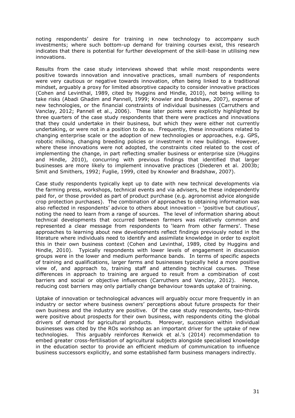noting respondents' desire for training in new technology to accompany such investments; where such bottom-up demand for training courses exist, this research indicates that there is potential for further development of the skill-base in utilising new innovations.

Results from the case study interviews showed that while most respondents were positive towards innovation and innovative practices, small numbers of respondents were very cautious or negative towards innovation, often being linked to a traditional mindset, arguably a proxy for limited absorptive capacity to consider innovative practices (Cohen and Levinthal, 1989, cited by Huggins and Hindle, 2010), not being willing to take risks (Abadi Ghadim and Pannell, 1999; Knowler and Bradshaw, 2007), expense of new technologies, or the financial constraints of individual businesses (Carruthers and Vanclay, 2012; Pannell et al., 2006). These later points were explicitly highlighted by three quarters of the case study respondents that there were practices and innovations that they could undertake in their business, but which they were either not currently undertaking, or were not in a position to do so. Frequently, these innovations related to changing enterprise scale or the adoption of new technologies or approaches, e.g. GPS, robotic milking, changing breeding policies or investment in new buildings. However, where these innovations were not adopted, the constraints cited related to the cost of implementing the change, in part reflecting smaller business or enterprise size (Huggins and Hindle, 2010), concurring with previous findings that identified that larger businesses are more likely to implement innovative practices (Diederen et al. 2003b; Smit and Smithers, 1992; Fuglie, 1999, cited by Knowler and Bradshaw, 2007).

Case study respondents typically kept up to date with new technical developments via the farming press, workshops, technical events and via advisers, be these independently paid for, or those provided as part of product purchase (e.g. agronomist advice alongside crop protection purchases). The combination of approaches to obtaining information was also reflected in respondents' advice to others about innovation – 'positive but cautious', noting the need to learn from a range of sources. The level of information sharing about technical developments that occurred between farmers was relatively common and represented a clear message from respondents to 'learn from other farmers'. These approaches to learning about new developments reflect findings previously noted in the literature where individuals need to identify and assimilate knowledge in order to exploit this in their own business context (Cohen and Levinthal, 1989, cited by Huggins and Hindle, 2010). Typically respondents with lower levels of engagement in discussion groups were in the lower and medium performance bands. In terms of specific aspects of training and qualifications, larger farms and businesses typically held a more positive view of, and approach to, training staff and attending technical courses. These differences in approach to training are argued to result from a combination of cost barriers and social or objective influences (Carruthers and Vanclay, 2012). Hence, reducing cost barriers may only partially change behaviour towards uptake of training.

Uptake of innovation or technological advances will arguably occur more frequently in an industry or sector where business owners' perceptions about future prospects for their own business and the industry are positive. Of the case study respondents, two-thirds were positive about prospects for their own business, with respondents citing the global drivers of demand for agricultural products. Moreover, succession within individual businesses was cited by the ROs workshop as an important driver for the uptake of new technologies. This arguably reinforces Renwick et al.'s (2014) recommendation to embed greater cross-fertilisation of agricultural subjects alongside specialised knowledge in the education sector to provide an efficient medium of communication to influence business successors explicitly, and some established farm business managers indirectly.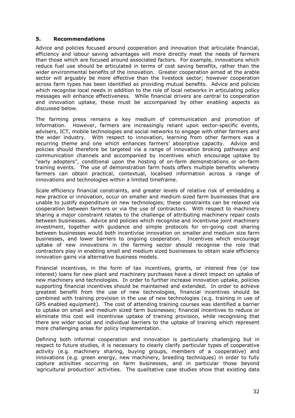#### <span id="page-31-0"></span>**5. Recommendations**

Advice and policies focused around cooperation and innovation that articulate financial, efficiency and labour saving advantages will more directly meet the needs of farmers than those which are focused around associated factors. For example, innovations which reduce fuel use should be articulated in terms of cost saving benefits, rather than the wider environmental benefits of the innovation. Greater cooperation aimed at the arable sector will arguably be more effective than the livestock sector; however cooperation across farm types has been identified as providing mutual benefits. Advice and policies which recognise local needs in addition to the role of local networks in articulating policy messages will enhance effectiveness. While financial drivers are central to cooperation and innovation uptake, these must be accompanied by other enabling aspects as discussed below.

The farming press remains a key medium of communication and promotion of information. However, farmers are increasingly reliant upon sector-specific events, advisers, ICT, mobile technologies and social networks to engage with other farmers and the wider industry. With respect to innovation, learning from other farmers was a recurring theme and one which enhances farmers' absorptive capacity. Advice and policies should therefore be targeted via a range of innovation broking pathways and communication channels and accompanied by incentives which encourage uptake by "early adopters", conditional upon the hosting of on-farm demonstrations or on-farm training events. The use of demonstration farm hosts offers multiple benefits whereby farmers can obtain practical, contextual, localised information across a range of innovations and technologies within a limited timeframe.

Scale efficiency financial constraints, and greater levels of relative risk of embedding a new practice or innovation, occur on smaller and medium sized farm businesses that are unable to justify expenditure on new technologies; these constraints can be relaxed via cooperation between farmers or via the use of contractors. With respect to machinery sharing a major constraint relates to the challenge of attributing machinery repair costs between businesses. Advice and policies which recognise and incentivise joint machinery investment, together with guidance and simple protocols for on-going cost sharing between businesses would both incentivise innovation on smaller and medium size farm businesses, and lower barriers to ongoing cooperation. Incentives which encourage uptake of new innovations in the farming sector should recognise the role that contractors play in enabling small and medium sized businesses to obtain scale efficiency innovation gains via alternative business models.

Financial incentives, in the form of tax incentives, grants, or interest free (or low interest) loans for new plant and machinery purchases have a direct impact on uptake of new machinery and technologies. In order to further increase innovation uptake, policies supporting financial incentives should be maintained and extended. In order to achieve greatest benefit from the use of new technologies, financial incentives should be combined with training provision in the use of new technologies (e.g. training in use of GPS enabled equipment). The cost of attending training courses was identified a barrier to uptake on small and medium sized farm businesses; financial incentives to reduce or eliminate this cost will incentivise uptake of training provision, while recognising that there are wider social and individual barriers to the uptake of training which represent more challenging areas for policy implementation.

Defining both informal cooperation and innovation is particularly challenging but in respect to future studies, it is necessary to clearly clarify particular types of cooperative activity (e.g. machinery sharing, buying groups, members of a cooperative) and innovations (e.g. green energy, new machinery, breeding techniques) in order to fully capture activities occurring on farm businesses, and in particular those beyond 'agricultural production' activities. The qualitative case studies show that existing data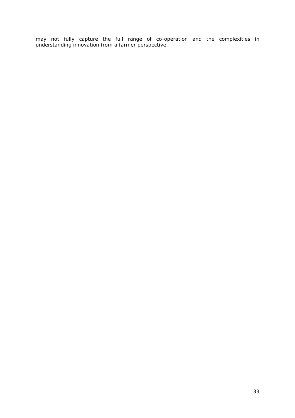may not fully capture the full range of co-operation and the complexities in understanding innovation from a farmer perspective.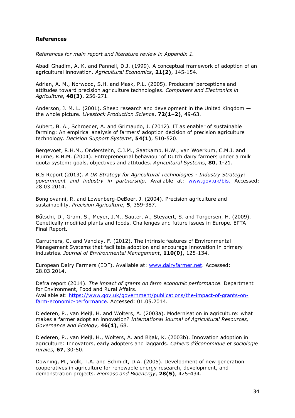#### <span id="page-33-0"></span>**References**

*References for main report and literature review in Appendix 1.*

Abadi Ghadim, A. K. and Pannell, D.J. (1999). A conceptual framework of adoption of an agricultural innovation. *Agricultural Economics*, **21(2)**, 145-154.

Adrian, A. M., Norwood, S.H. and Mask, P.L. (2005). Producers' perceptions and attitudes toward precision agriculture technologies. *Computers and Electronics in Agriculture*, **48(3)**, 256-271.

Anderson, J. M. L. (2001). Sheep research and development in the United Kingdom the whole picture. *Livestock Production Science*, **72(1–2)**, 49-63.

Aubert, B. A., Schroeder, A. and Grimaudo, J. (2012). IT as enabler of sustainable farming: An empirical analysis of farmers' adoption decision of precision agriculture technology. *Decision Support Systems*, **54(1)**, 510-520.

Bergevoet, R.H.M., Ondersteijn, C.J.M., Saatkamp, H.W., van Woerkum, C.M.J. and Huirne, R.B.M. (2004). Entrepreneurial behaviour of Dutch dairy farmers under a milk quota system: goals, objectives and attitudes. *Agricultural Systems*, **80**, 1-21.

BIS Report (2013). *A UK Strategy for Agricultural Technologies - Industry Strategy: government and industry in partnership*. Available at: [www.gov.uk/bis](http://www.gov.uk/bis). Accessed: 28.03.2014.

Bongiovanni, R. and Lowenberg-DeBoer, J. (2004). Precision agriculture and sustainability. *Precision Agriculture*, **5**, 359-387.

Bűtschi, D., Gram, S., Meyer, J.M., Sauter, A., Steyaert, S. and Torgersen, H. (2009). Genetically modified plants and foods. Challenges and future issues in Europe. EPTA Final Report.

Carruthers, G. and Vanclay, F. (2012). The intrinsic features of Environmental Management Systems that facilitate adoption and encourage innovation in primary industries. *Journal of Environmental Management*, **110(0)**, 125-134.

European Dairy Farmers (EDF). Available at: [www.dairyfarmer.net](http://www.dairyfarmer.net/). Accessed: 28.03.2014.

Defra report (2014). *The impact of grants on farm economic performance*. Department for Environment, Food and Rural Affairs. Available at: [https://www.gov.uk/government/publications/the-impact-of-grants-on](https://www.gov.uk/government/publications/the-impact-of-grants-on-farm-economic-performance)[farm-economic-performance.](https://www.gov.uk/government/publications/the-impact-of-grants-on-farm-economic-performance) Accessed: 01.05.2014.

Diederen, P., van Meijl, H. and Wolters, A. (2003a). Modernisation in agriculture: what makes a farmer adopt an innovation? *International Journal of Agricultural Resources, Governance and Ecology*, **46(1)**, 68.

Diederen, P., van Meijl, H., Wolters, A. and Bijak, K. (2003b). Innovation adoption in agriculture: Innovators, early adopters and laggards. *Cahiers d'économique et sociologie rurales*, **67**, 30-50.

Downing, M., Volk, T.A. and Schmidt, D.A. (2005). Development of new generation cooperatives in agriculture for renewable energy research, development, and demonstration projects. *Biomass and Bioenergy*, **28(5)**, 425-434.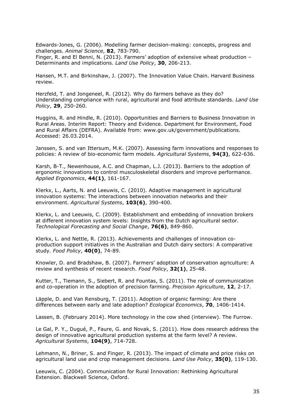Edwards-Jones, G. (2006). Modelling farmer decision-making: concepts, progress and challenges. *Animal Science*, **82**, 783-790.

Finger, R. and El Benni, N. (2013). Farmers' adoption of extensive wheat production – Determinants and implications. *Land Use Policy*, **30**, 206-213.

[Hansen](http://hbr.org/search/Morten T. Hansen/0/author), M.T. and [Birkinshaw](http://hbr.org/search/Julian Birkinshaw/0/author), J. (2007). The Innovation Value Chain. Harvard Business review.

Herzfeld, T. and Jongeneel, R. (2012). Why do farmers behave as they do? Understanding compliance with rural, agricultural and food attribute standards. *Land Use Policy*, **29**, 250-260.

Huggins, R. and Hindle, R. (2010). Opportunities and Barriers to Business Innovation in Rural Areas. Interim Report: Theory and Evidence. Department for Environment, Food and Rural Affairs (DEFRA). Available from: www.gov.uk/government/publications. Accessed: 26.03.2014.

Janssen, S. and van Ittersum, M.K. (2007). Assessing farm innovations and responses to policies: A review of bio-economic farm models. *Agricultural Systems*, **94(3)**, 622-636.

Karsh, B-T., Newenhouse, A.C. and Chapman, L.J. (2013). Barriers to the adoption of ergonomic innovations to control musculoskeletal disorders and improve performance. *Applied Ergonomics*, **44(1)**, 161-167.

Klerkx, L., Aarts, N. and Leeuwis, C. (2010). Adaptive management in agricultural innovation systems: The interactions between innovation networks and their environment. *Agricultural Systems*, **103(6)**, 390-400.

Klerkx, L. and Leeuwis, C. (2009). Establishment and embedding of innovation brokers at different innovation system levels: Insights from the Dutch agricultural sector. *Technological Forecasting and Social Change*, **76(6)**, 849-860.

Klerkx, L. and Nettle, R. (2013). Achievements and challenges of innovation coproduction support initiatives in the Australian and Dutch dairy sectors: A comparative study. *Food Policy*, **40(0)**, 74-89.

Knowler, D. and Bradshaw, B. (2007). Farmers' adoption of conservation agriculture: A review and synthesis of recent research. *Food Policy*, **32(1)**, 25-48.

Kutter, T., Tiemann, S., Siebert, R. and Fountas, S. (2011). The role of communication and co-operation in the adoption of precision farming. *Precision Agriculture*, **12**, 2-17.

Läpple, D. and Van Rensburg, T. (2011). Adoption of organic farming: Are there differences between early and late adoption? *Ecological Economics*, **70**, 1406-1414.

Lassen, B. (February 2014). More technology in the cow shed (interview). The Furrow.

Le Gal, P. Y., Dugué, P., Faure, G. and Novak, S. (2011). How does research address the design of innovative agricultural production systems at the farm level? A review. *Agricultural Systems*, **104(9)**, 714-728.

Lehmann, N., Briner, S. and Finger, R. (2013). The impact of climate and price risks on agricultural land use and crop management decisions. *Land Use Policy*, **35(0)**, 119-130.

Leeuwis, C. (2004). Communication for Rural Innovation: Rethinking Agricultural Extension. Blackwell Science, Oxford.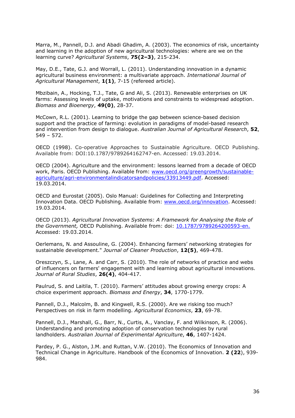Marra, M., Pannell, D.J. and Abadi Ghadim, A. (2003). The economics of risk, uncertainty and learning in the adoption of new agricultural technologies: where are we on the learning curve? *Agricultural Systems*, **75(2–3)**, 215-234.

May, D.E., Tate, G.J. and Worrall, L. (2011). Understanding innovation in a dynamic agricultural business environment: a multivariate approach. *International Journal of Agricultural Management*, **1(1)**, 7-15 (refereed article).

Mbzibain, A., Hocking, T.J., Tate, G and Ali, S. (2013). Renewable enterprises on UK farms: Assessing levels of uptake, motivations and constraints to widespread adoption. *Biomass and Bioenergy*, **49(0)**, 28-37.

McCown, R.L. (2001). Learning to bridge the gap between science-based decision support and the practice of farming: evolution in paradigms of model-based research and intervention from design to dialogue. *Australian Journal of Agricultural Research*, **52**, 549 – 572.

OECD (1998). Co-operative Approaches to Sustainable Agriculture. OECD Publishing. Available from: DOI:10.1787/9789264162747-en. Accessed: 19.03.2014.

OECD (2004). Agriculture and the environment: lessons learned from a decade of OECD work, Paris. OECD Publishing. Available from: [www.oecd.org/greengrowth/sustainable](http://www.oecd.org/greengrowth/sustainable-agriculture/agri-environmentalindicatorsandpolicies/33913449.pdf)[agriculture/agri-environmentalindicatorsandpolicies/33913449.pdf.](http://www.oecd.org/greengrowth/sustainable-agriculture/agri-environmentalindicatorsandpolicies/33913449.pdf) Accessed: 19.03.2014.

OECD and Eurostat (2005). Oslo Manual: Guidelines for Collecting and Interpreting Innovation Data. OECD Publishing. Available from: [www.oecd.org/innovation](http://www.oecd.org/innovation). Accessed: 19.03.2014.

OECD (2013). *Agricultural Innovation Systems: A Framework for Analysing the Role of the Government,* OECD Publishing. Available from: doi: [10.1787/9789264200593-en.](http://dx.doi.org/10.1787/9789264200593-en) Accessed: 19.03.2014.

Oerlemans, N. and Assouline, G. (2004). Enhancing farmers' networking strategies for sustainable development." *Journal of Cleaner Production*, **12(5)**, 469-478.

Oreszczyn, S., Lane, A. and Carr, S. (2010). The role of networks of practice and webs of influencers on farmers' engagement with and learning about agricultural innovations. *Journal of Rural Studies*, **26(4)**, 404-417.

Paulrud, S. and Laitila, T. (2010). Farmers' attitudes about growing energy crops: A choice experiment approach. *Biomass and Energy*, **34**, 1770-1779.

Pannell, D.J., Malcolm, B. and Kingwell, R.S. (2000). Are we risking too much? Perspectives on risk in farm modelling. *Agricultural Economics*, **23**, 69-78.

Pannell, D.J., Marshall, G., Barr, N., Curtis, A., Vanclay, F. and Wilkinson, R. (2006). Understanding and promoting adoption of conservation technologies by rural landholders. *Australian Journal of Experimental Agriculture*, **46**, 1407-1424.

Pardey, P. G., Alston, J.M. and Ruttan, V.W. (2010). The Economics of Innovation and Technical Change in Agriculture. Handbook of the Economics of Innovation. **2 (22**), 939- 984.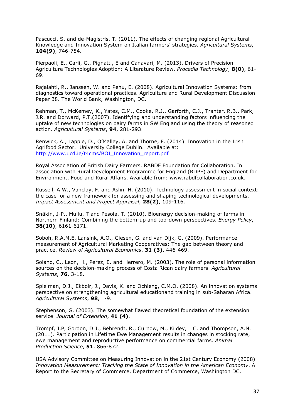Pascucci, S. and de-Magistris, T. (2011). The effects of changing regional Agricultural Knowledge and Innovation System on Italian farmers' strategies. *Agricultural Systems*, **104(9)**, 746-754.

Pierpaoli, E., Carli, G., Pignatti, E and Canavari, M. (2013). Drivers of Precision Agriculture Technologies Adoption: A Literature Review. *Procedia Technology*, **8(0)**, 61- 69.

Rajalahti, R., Janssen, W. and Pehu, E. (2008). Agricultural Innovation Systems: from diagnostics toward operational practices. Agriculture and Rural Development Discussion Paper 38. The World Bank, Washington, DC.

Rehman, T., McKemey, K., Yates, C.M., Cooke, R.J., Garforth, C.J., Tranter, R.B., Park, J.R. and Dorward, P.T.(2007). Identifying and understanding factors influencing the uptake of new technologies on dairy farms in SW England using the theory of reasoned action. *Agricultural Systems*, **94**, 281-293.

Renwick, A., Lapple, D., O'Malley, A. and Thorne, F. (2014). Innovation in the Irish Agrifood Sector. University College Dublin. Available at: [http://www.ucd.ie/t4cms/BOI\\_Innovation\\_report.pdf](http://www.ucd.ie/t4cms/BOI_Innovation_report.pdf)

Royal Association of British Dairy Farmers. RABDF Foundation for Collaboration. In association with Rural Development Programme for England (RDPE) and Department for Environment, Food and Rural Affairs. Available from: www.rabdfcollaboration.co.uk.

Russell, A.W., Vanclay, F. and Aslin, H. (2010). Technology assessment in social context: the case for a new framework for assessing and shaping technological developments. *Impact Assessment and Project Appraisal*, **28(2)**, 109-116.

Snäkin, J-P., Muilu, T and Pesola, T. (2010). Bioenergy decision-making of farms in Northern Finland: Combining the bottom-up and top-down perspectives. *Energy Policy*, **38(10)**, 6161-6171.

Soboh, R.A.M.E, Lansink, A.O., Giesen, G. and van Dijk, G. (2009). Performance measurement of Agricultural Marketing Cooperatives: The gap between theory and practice. *Review of Agricultural Economics*, **31 (3)**, 446-469.

Solano, C., Leon, H., Perez, E. and Herrero, M. (2003). The role of personal information sources on the decision-making process of Costa Rican dairy farmers. *Agricultural Systems*, **76**, 3-18.

Spielman, D.J., Ekboir, J., Davis, K. and Ochieng, C.M.O. (2008). An innovation systems perspective on strengthening agricultural educationand training in sub-Saharan Africa. *Agricultural Systems*, **98**, 1-9.

Stephenson, G. (2003). The somewhat flawed theoretical foundation of the extension service. *Journal of Extension*, **41 (4)**.

Trompf, J.P, Gordon, D.J., Behrendt, R., Curnow, M., Kildey, L.C. and Thompson, A.N. (2011). Participation in Lifetime Ewe Management results in changes in stocking rate, ewe management and reproductive performance on commercial farms. *Animal Production Science*, **51**, 866-872.

USA Advisory Committee on Measuring Innovation in the 21st Century Economy (2008). *Innovation Measurement: Tracking the State of Innovation in the American Economy*. A Report to the Secretary of Commerce, Department of Commerce, Washington DC.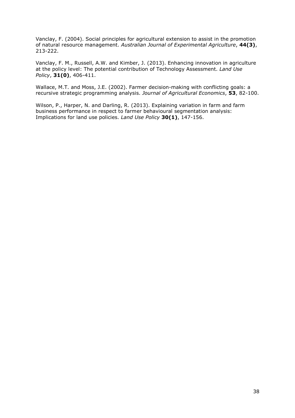Vanclay, F. (2004). Social principles for agricultural extension to assist in the promotion of natural resource management. *Australian Journal of Experimental Agriculture*, **44(3)**, 213-222.

Vanclay, F. M., Russell, A.W. and Kimber, J. (2013). Enhancing innovation in agriculture at the policy level: The potential contribution of Technology Assessment. *Land Use Policy*, **31(0)**, 406-411.

Wallace, M.T. and Moss, J.E. (2002). Farmer decision-making with conflicting goals: a recursive strategic programming analysis. *Journal of Agricultural Economics*, **53**, 82-100.

Wilson, P., Harper, N. and Darling, R. (2013). Explaining variation in farm and farm business performance in respect to farmer behavioural segmentation analysis: Implications for land use policies. *Land Use Policy* **30(1)**, 147-156.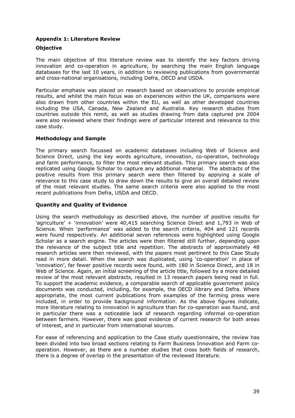## <span id="page-38-0"></span>**Appendix 1: Literature Review**

## **Objective**

The main objective of this literature review was to identify the key factors driving innovation and co-operation in agriculture, by searching the main English language databases for the last 10 years, in addition to reviewing publications from governmental and cross-national organisations, including Defra, OECD and USDA.

Particular emphasis was placed on research based on observations to provide empirical results, and whilst the main focus was on experiences within the UK, comparisons were also drawn from other countries within the EU, as well as other developed countries including the USA, Canada, New Zealand and Australia. Key research studies from countries outside this remit, as well as studies drawing from data captured pre 2004 were also reviewed where their findings were of particular interest and relevance to this case study.

## **Methodology and Sample**

The primary search focussed on academic databases including Web of Science and Science Direct, using the key words agriculture, innovation, co-operation, technology and farm performance, to filter the most relevant studies. This primary search was also replicated using Google Scholar to capture any additional material. The abstracts of the positive results from this primary search were then filtered by applying a scale of relevance to this case study to draw down the results to give an overall detailed review of the most relevant studies. The same search criteria were also applied to the most recent publications from Defra, USDA and OECD.

## **Quantity and Quality of Evidence**

Using the search methodology as described above, the number of positive results for 'agriculture' + 'innovation' were 40,415 searching Science Direct and 1,793 in Web of Science. When 'performance' was added to the search criteria, 404 and 121 records were found respectively. An additional seven references were highlighted using Google Scholar as a search engine. The articles were then filtered still further, depending upon the relevance of the subject title and repetition. The abstracts of approximately 48 research articles were then reviewed, with the papers most pertinent to this Case Study read in more detail. When the search was duplicated, using 'co-operation' in place of 'innovation', far fewer positive records were found, with 180 in Science Direct, and 18 in Web of Science. Again, an initial screening of the article title, followed by a more detailed review of the most relevant abstracts, resulted in 13 research papers being read in full. To support the academic evidence, a comparable search of applicable government policy documents was conducted, including, for example, the OECD ilibrary and Defra. Where appropriate, the most current publications from examples of the farming press were included, in order to provide background information. As the above figures indicate, more literature relating to innovation in agriculture than for co-operation was found, and in particular there was a noticeable lack of research regarding informal co-operation between farmers. However, there was good evidence of current research for both areas of interest, and in particular from international sources.

For ease of referencing and application to the Case study questionnaire, the review has been divided into two broad sections relating to Farm Business Innovation and Farm cooperation. However, as there are a number studies that cross both fields of research, there is a degree of overlap in the presentation of the reviewed literature.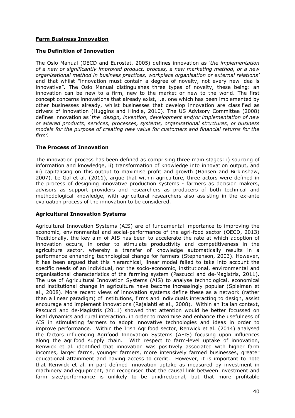## **Farm Business Innovation**

## **The Definition of Innovation**

The Oslo Manual (OECD and Eurostat, 2005) defines innovation as *'the implementation of a new or significantly improved product, process, a new marketing method, or a new organisational method in business practices, workplace organisation or external relations'* and that whilst "innovation must contain a degree of novelty, not every new idea is innovative". The Oslo Manual distinguishes three types of novelty, these being: an innovation can be new to a firm, new to the market or new to the world. The first concept concerns innovations that already exist, i.e. one which has been implemented by other businesses already, whilst businesses that develop innovation are classified as drivers of innovation (Huggins and Hindle, 2010). The US Advisory Committee (2008) defines innovation as '*the design, invention, development and/or implementation of new or altered products, services, processes, systems, organisational structures, or business models for the purpose of creating new value for customers and financial returns for the firm'.*

## **The Process of Innovation**

The innovation process has been defined as comprising three main stages: i) sourcing of information and knowledge, ii) transformation of knowledge into innovation output, and iii) capitalising on this output to maximise profit and growth (Hansen and Birkinshaw, 2007). Le Gal et al. (2011), argue that within agriculture, three actors were defined in the process of designing innovative production systems - farmers as decision makers, advisors as support providers and researchers as producers of both technical and methodological knowledge, with agricultural researchers also assisting in the ex-ante evaluation process of the innovation to be considered.

#### **Agricultural Innovation Systems**

Agricultural Innovation Systems (AIS) are of fundamental importance to improving the economic, environmental and social-performance of the agri-food sector (OECD, 2013) Traditionally, the key aim of AIS has been to accelerate the rate at which adoption of innovation occurs, in order to stimulate productivity and competitiveness in the agriculture sector, whereby a transfer of knowledge automatically results in a performance enhancing technological change for farmers (Stephenson, 2003). However, it has been argued that this hierarchical, linear model failed to take into account the specific needs of an individual, nor the socio-economic, institutional, environmental and organisational characteristics of the farming system (Pascucci and de-Magistris, 2011). The use of Agricultural Innovation Systems (AIS) to analyse technological, economical and institutional change in agriculture have become increasingly popular (Spielman et al., 2008). More recent views of innovation systems define these as a network (rather than a linear paradigm) of institutions, firms and individuals interacting to design, assist encourage and implement innovations (Rajalahti et al., 2008). Within an Italian context, Pascucci and de-Magistris (2011) showed that attention would be better focussed on local dynamics and rural interaction, in order to maximise and enhance the usefulness of AIS in stimulating farmers to adopt innovative technologies and ideas in order to improve performance. Within the Irish Agrifood sector, Renwick et al. (2014) analysed the factors influencing Agrifood Innovation Systems (AFIS) focusing upon influences along the agrifood supply chain. With respect to farm-level uptake of innovation, Renwick et al. identified that innovation was positively associated with higher farm incomes, larger farms, younger farmers, more intensively farmed businesses, greater educational attainment and having access to credit. However, it is important to note that Renwick et al. in part defined innovation uptake as measured by investment in machinery and equipment, and recognised that the causal link between investment and farm size/performance is unlikely to be unidirectional, but that more profitable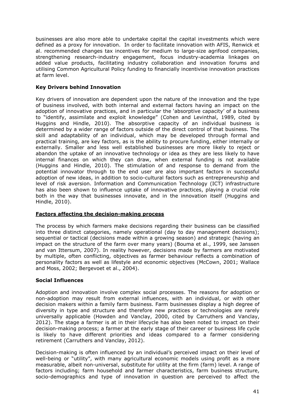businesses are also more able to undertake capital the capital investments which were defined as a proxy for innovation. In order to facilitate innovation with AFIS, Renwick et al. recommended changes tax incentives for medium to large-size agrifood companies, strengthening research-industry engagement, focus industry-academia linkages on added value products, facilitating industry collaboration and innovation forums and utilising Common Agricultural Policy funding to financially incentivise innovation practices at farm level.

## **Key Drivers behind Innovation**

Key drivers of innovation are dependent upon the nature of the innovation and the type of business involved, with both internal and external factors having an impact on the adoption of innovative practices, and in particular the 'absorptive capacity' of a business to "identify, assimilate and exploit knowledge" (Cohen and Levinthal, 1989, cited by Huggins and Hindle, 2010). The absorptive capacity of an individual business is determined by a wider range of factors outside of the direct control of that business. The skill and adaptability of an individual, which may be developed through formal and practical training, are key factors, as is the ability to procure funding, either internally or externally. Smaller and less well established businesses are more likely to reject or abandon the uptake of an innovative technology or idea as they are less likely to have internal finances on which they can draw, when external funding is not available (Huggins and Hindle, 2010). The stimulation of and response to demand from the potential innovator through to the end user are also important factors in successful adoption of new ideas, in addition to socio-cultural factors such as entrepreneurship and level of risk aversion. Information and Communication Technology (ICT) infrastructure has also been shown to influence uptake of innovative practices, playing a crucial role both in the way that businesses innovate, and in the innovation itself (Huggins and Hindle, 2010).

## **Factors affecting the decision-making process**

The process by which farmers make decisions regarding their business can be classified into three distinct categories, namely operational (day to day management decisions); sequential or tactical (decisions made within a growing season) and strategic (having an impact on the structure of the farm over many years) (Bouma et al., 1999, see Janssen and van Ittersum, 2007). In reality however, decisions made by farmers are motivated by multiple, often conflicting, objectives as farmer behaviour reflects a combination of personality factors as well as lifestyle and economic objectives (McCown, 2001; Wallace and Moss, 2002; Bergevoet et al., 2004).

## **Social Influences**

Adoption and innovation involve complex social processes. The reasons for adoption or non-adoption may result from external influences, with an individual, or with other decision makers within a family farm business. Farm businesses display a high degree of diversity in type and structure and therefore new practices or technologies are rarely universally applicable (Howden and Vanclay, 2000, cited by Carruthers and Vanclay, 2012). The stage a farmer is at in their lifecycle has also been noted to impact on their decision-making process; a farmer at the early stage of their career or business life cycle is likely to have different priorities and ideas compared to a farmer considering retirement (Carruthers and Vanclay, 2012).

Decision-making is often influenced by an individual's perceived impact on their level of well-being or "utility", with many agricultural economic models using profit as a more measurable, albeit non-universal, substitute for utility at the firm (farm) level. A range of factors including; farm household and farmer characteristics, farm business structure, socio-demographics and type of innovation in question are perceived to affect the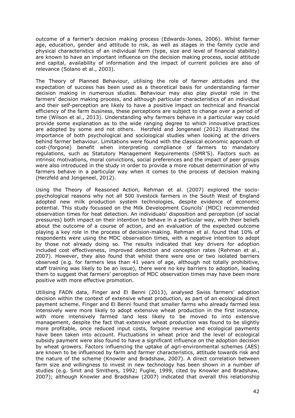outcome of a farmer's decision making process (Edwards-Jones, 2006). Whilst farmer age, education, gender and attitude to risk, as well as stages in the family cycle and physical characteristics of an individual farm (type, size and level of financial stability) are known to have an important influence on the decision making process, social attitude and capital, availability of information and the impact of current policies are also of relevance (Solano et al., 2003).

The Theory of Planned Behaviour, utilising the role of farmer attitudes and the expectation of success has been used as a theoretical basis for understanding farmer decision making in numerous studies. Behaviour may also play pivotal role in the farmers' decision making process, and although particular characteristics of an individual and their self-perception are likely to have a positive impact on technical and financial efficiency of the farm business, these perceptions are subject to change over a period of time (Wilson et al., 2013). Understanding why farmers behave in a particular way could provide some explanation as to the wide ranging degree to which innovative practices are adopted by some and not others. Herzfeld and Jongeneel (2012) illustrated the importance of both psychological and sociological studies when looking at the drivers behind farmer behaviour. Limitations were found with the classical economic approach of cost-(forgone) benefit when interpreting compliance of farmers to mandatory regulations, such as Statutory Management Requirements (SMR'S). Factors such as intrinsic motivations, moral convictions, social preferences and the impact of peer groups were also introduced in the study in order to provide a more robust determination of why farmers behave in a particular way when it comes to the process of decision making (Herzfeld and Jongeneel, 2012).

Using the Theory of Reasoned Action, Rehman et al. (2007) explored the sociopsychological reasons why not all 500 livestock farmers in the South West of England adopted new milk production system technologies, despite evidence of economic potential. This study focussed on the Milk Development Councils' (MDC) recommended observation times for heat detection. An individuals' disposition and perception (of social pressures) both impact on their intention to behave in a particular way, with their beliefs about the outcome of a course of action, and an evaluation of the expected outcome playing a key role in the process of decision-making. Rehman et al. found that 10% of respondents were using the MDC observation times, with a negative intention to adopt by those not already doing so. The results indicated that key drivers for adoption included cost effectiveness, improved detection and conception rates (Rehman et al., 2007). However, they also found that whilst there were one or two isolated barriers observed (e.g. for farmers less than 41 years of age, although not totally prohibitive, staff training was likely to be an issue), there were no key barriers to adoption, leading them to suggest that farmers' perception of MDC observation times may have been more positive with more effective promotion.

Utilising FADN data, Finger and El Benni (2013), analysed Swiss farmers' adoption decision within the context of extensive wheat production, as part of an ecological direct payment scheme. Finger and El Benni found that smaller farms who already farmed less intensively were more likely to adopt extensive wheat production in the first instance, with more intensively farmed land less likely to be moved to into extensive management, despite the fact that extensive wheat production was found to be slightly more profitable, once reduced input costs, forgone revenue and ecological payments have been taken into account. Fluctuations in wheat price and the level of ecological subsidy payment were also found to have a significant influence on the adoption decision by wheat growers. Factors influencing the uptake of agri-environmental schemes (AES) are known to be influenced by farm and farmer characteristics, attitude towards risk and the nature of the scheme (Knowler and Bradshaw, 2007). A direct correlation between farm size and willingness to invest in new technology has been shown in a number of studies (e.g. Smit and Smithers, 1992; Fuglie, 1999, cited by Knowler and Bradshaw, 2007); although Knowler and Bradshaw (2007) indicated that overall this relationship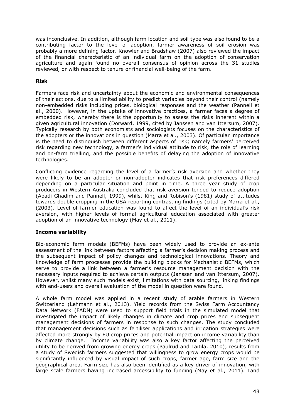was inconclusive. In addition, although farm location and soil type was also found to be a contributing factor to the level of adoption, farmer awareness of soil erosion was probably a more defining factor. Knowler and Bradshaw (2007) also reviewed the impact of the financial characteristic of an individual farm on the adoption of conservation agriculture and again found no overall consensus of opinion across the 31 studies reviewed, or with respect to tenure or financial well-being of the farm.

## **Risk**

Farmers face risk and uncertainty about the economic and environmental consequences of their actions, due to a limited ability to predict variables beyond their control (namely non-embedded risks including prices, biological responses and the weather (Pannell et al., 2000). However, in the uptake of innovative practices, a farmer faces a degree of embedded risk, whereby there is the opportunity to assess the risks inherent within a given agricultural innovation (Dorward, 1999, cited by Janssen and van Ittersum, 2007). Typically research by both economists and sociologists focuses on the characteristics of the adopters or the innovations in question (Marra et al., 2003). Of particular importance is the need to distinguish between different aspects of risk; namely farmers' perceived risk regarding new technology, a farmer's individual attitude to risk, the role of learning and on-farm trialling, and the possible benefits of delaying the adoption of innovative technologies.

Conflicting evidence regarding the level of a farmer's risk aversion and whether they were likely to be an adopter or non-adopter indicates that risk preferences differed depending on a particular situation and point in time. A three year study of crop producers in Western Australia concluded that risk aversion tended to reduce adoption (Abadi Ghadim and Pannell, 1999), whilst King and Robison's (1981) study of attitudes towards double cropping in the USA reporting contrasting findings (cited by Marra et al., (2003). Level of farmer education was found to affect the level of an individual's risk aversion, with higher levels of formal agricultural education associated with greater adoption of an innovative technology (May et al., 2011).

## **Income variability**

Bio-economic farm models (BEFMs) have been widely used to provide an ex-ante assessment of the link between factors affecting a farmer's decision making process and the subsequent impact of policy changes and technological innovations. Theory and knowledge of farm processes provide the building blocks for Mechanistic BEFMs, which serve to provide a link between a farmer's resource management decision with the necessary inputs required to achieve certain outputs (Janssen and van Ittersum, 2007). However, whilst many such models exist, limitations with data sourcing, linking findings with end-users and overall evaluation of the model in question were found.

A whole farm model was applied in a recent study of arable farmers in Western Switzerland (Lehmann et al., 2013). Yield records from the Swiss Farm Accountancy Data Network (FADN) were used to support field trials in the simulated model that investigated the impact of likely changes in climate and crop prices and subsequent management decisions of farmers in response to such changes. The study concluded that management decisions such as fertiliser applications and irrigation strategies were affected more strongly by EU crop prices and potential impact on income variability than by climate change. Income variability was also a key factor affecting the perceived utility to be derived from growing energy crops (Paulrud and Laitila, 2010); results from a study of Swedish farmers suggested that willingness to grow energy crops would be significantly influenced by visual impact of such crops, farmer age, farm size and the geographical area. Farm size has also been identified as a key driver of innovation, with large scale farmers having increased accessibility to funding (May et al., 2011). Land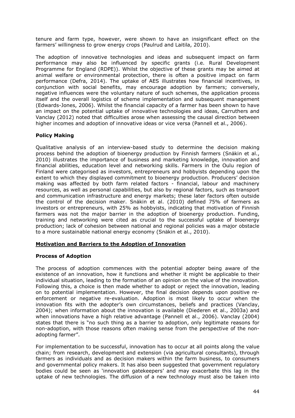tenure and farm type, however, were shown to have an insignificant effect on the farmers' willingness to grow energy crops (Paulrud and Laitila, 2010).

The adoption of innovative technologies and ideas and subsequent impact on farm performance may also be influenced by specific grants (i.e. Rural Development Programme for England (RDPE)). Whilst the objective of these grants may be aimed at animal welfare or environmental protection, there is often a positive impact on farm performance (Defra, 2014). The uptake of AES illustrates how financial incentives, in conjunction with social benefits, may encourage adoption by farmers; conversely, negative influences were the voluntary nature of such schemes, the application process itself and the overall logistics of scheme implementation and subsequent management (Edwards-Jones, 2006). Whilst the financial capacity of a farmer has been shown to have an impact on the potential uptake of innovative technologies and ideas, Carruthers and Vanclay (2012) noted that difficulties arose when assessing the causal direction between higher incomes and adoption of innovative ideas or vice versa (Pannell et al., 2006).

## **Policy Making**

Qualitative analysis of an interview-based study to determine the decision making process behind the adoption of bioenergy production by Finnish farmers (Snäkin et al., 2010) illustrates the importance of business and marketing knowledge, innovation and financial abilities, education level and networking skills. Farmers in the Oulu region of Finland were categorised as investors, entrepreneurs and hobbyists depending upon the extent to which they displayed commitment to bioenergy production. Producers' decision making was affected by both farm related factors - financial, labour and machinery resources, as well as personal capabilities, but also by regional factors, such as transport and communication infrastructure and energy markets; these later factors often outside the control of the decision maker. Snäkin et al. (2010) defined 75% of farmers as investors or entrepreneurs, with 25% as hobbyists, indicating that motivation of Finnish farmers was not the major barrier in the adoption of bioenergy production. Funding, training and networking were cited as crucial to the successful uptake of bioenergy production; lack of cohesion between national and regional policies was a major obstacle to a more sustainable national energy economy (Snӓkin et al., 2010).

#### **Motivation and Barriers to the Adoption of Innovation**

#### **Process of Adoption**

The process of adoption commences with the potential adopter being aware of the existence of an innovation, how it functions and whether it might be applicable to their individual situation, leading to the formation of an opinion on the value of the innovation. Following this, a choice is then made whether to adopt or reject the innovation, leading on to potential implementation. However, the final decision depends upon positive reenforcement or negative re-evaluation. Adoption is most likely to occur when the innovation fits with the adopter's own circumstances, beliefs and practices (Vanclay, 2004); when information about the innovation is available (Diederen et al., 2003a) and when innovations have a high relative advantage (Pannell et al., 2006). Vanclay (2004) states that there is "no such thing as a barrier to adoption, only legitimate reasons for non-adoption, with those reasons often making sense from the perspective of the nonadopting farmer".

For implementation to be successful, innovation has to occur at all points along the value chain; from research, development and extension (via agricultural consultants), through farmers as individuals and as decision makers within the farm business, to consumers and governmental policy makers. It has also been suggested that government regulatory bodies could be seen as 'innovation gatekeepers' and may exacerbate this lag in the uptake of new technologies. The diffusion of a new technology must also be taken into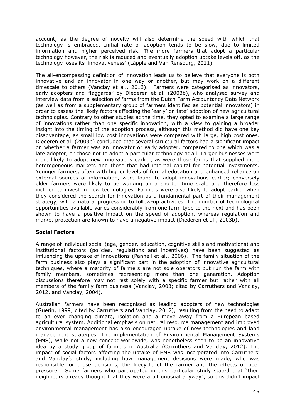account, as the degree of novelty will also determine the speed with which that technology is embraced. Initial rate of adoption tends to be slow, due to limited information and higher perceived risk. The more farmers that adopt a particular technology however, the risk is reduced and eventually adoption uptake levels off, as the technology loses its 'innovativeness' (Läpple and Van Rensburg, 2011).

The all-encompassing definition of innovation leads us to believe that everyone is both innovative and an innovator in one way or another, but may work on a different timescale to others (Vanclay et al., 2013). Farmers were categorised as innovators, early adopters and "laggards" by Diederen et al. (2003b), who analysed survey and interview data from a selection of farms from the Dutch Farm Accountancy Data Network (as well as from a supplementary group of farmers identified as potential innovators) in order to assess the likely factors affecting the 'early' or 'late' adoption of new agricultural technologies. Contrary to other studies at the time, they opted to examine a large range of innovations rather than one specific innovation, with a view to gaining a broader insight into the timing of the adoption process, although this method did have one key disadvantage, as small low cost innovations were compared with large, high cost ones. Diederen et al. (2003b) concluded that several structural factors had a significant impact on whether a farmer was an innovator or early adopter, compared to one which was a late adopter, or chose not to adopt a particular technology at all. Larger businesses were more likely to adopt new innovations earlier, as were those farms that supplied more heterogeneous markets and those that had internal capital for potential investments. Younger farmers, often with higher levels of formal education and enhanced reliance on external sources of information, were found to adopt innovations earlier; conversely older farmers were likely to be working on a shorter time scale and therefore less inclined to invest in new technologies. Farmers were also likely to adopt earlier when they considered the search for innovation as a fundamental part of their management strategy, with a natural progression to follow-up activities. The number of technological opportunities available varies considerably from one farm type to the next and has been shown to have a positive impact on the speed of adoption, whereas regulation and market protection are known to have a negative impact (Diederen et al., 2003b).

## **Social Factors**

A range of individual social (age, gender, education, cognitive skills and motivations) and institutional factors (policies, regulations and incentives) have been suggested as influencing the uptake of innovations (Pannell et al., 2006). The family situation of the farm business also plays a significant part in the adoption of innovative agricultural techniques, where a majority of farmers are not sole operators but run the farm with family members, sometimes representing more than one generation. Adoption discussions therefore may not rest solely with a specific farmer but rather with all members of the family farm business (Vanclay, 2003; cited by Carruthers and Vanclay, 2012, and Vanclay, 2004).

Australian farmers have been recognised as leading adopters of new technologies (Guerin, 1999; cited by Carruthers and Vanclay, 2012), resulting from the need to adapt to an ever changing climate, isolation and a move away from a European based agricultural system. Additional emphasis on natural resource management and improved environmental management has also encouraged uptake of new technologies and land management strategies. The implementation of Environmental Management Systems (EMS), while not a new concept worldwide, was nonetheless seen to be an innovative idea by a study group of farmers in Australia (Carruthers and Vanclay, 2012). The impact of social factors affecting the uptake of EMS was incorporated into Carruthers' and Vanclay's study, including how management decisions were made, who was responsible for those decisions, the lifecycle of the farmer and the effects of peer pressure. Some farmers who participated in this particular study stated that "their neighbours already thought that they were a bit unusual anyway", so this didn't impact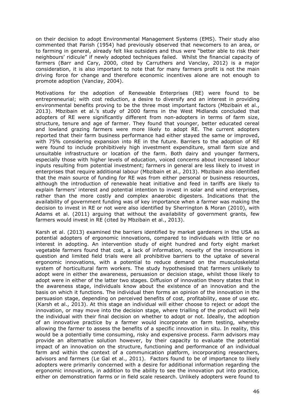on their decision to adopt Environmental Management Systems (EMS). Their study also commented that Parish (1954) had previously observed that newcomers to an area, or to farming in general, already felt like outsiders and thus were "better able to risk their neighbours' ridicule" if newly adopted techniques failed. Whilst the financial capacity of farmers (Barr and Cary, 2000, cited by Carruthers and Vanclay, 2012) is a major consideration, it is also important to note that for many farmers profit is not the main driving force for change and therefore economic incentives alone are not enough to promote adoption (Vanclay, 2004).

Motivations for the adoption of Renewable Enterprises (RE) were found to be entrepreneurial; with cost reduction, a desire to diversify and an interest in providing environmental benefits proving to be the three most important factors (Mbzibain et al., 2013). Mbzibain et al.'s study of 2000 farms in the West Midlands concluded that adopters of RE were significantly different from non-adopters in terms of farm size, structure, tenure and age of farmer. They found that younger, better educated cereal and lowland grazing farmers were more likely to adopt RE. The current adopters reported that their farm business performance had either stayed the same or improved, with 75% considering expansion into RE in the future. Barriers to the adoption of RE were found to include prohibitively high investment expenditure, small farm size and unsuitable infrastructure or location of the farm. Both dairy and younger farmers, especially those with higher levels of education, voiced concerns about increased labour inputs resulting from potential investment; farmers in general are less likely to invest in enterprises that require additional labour (Mbzibain et al., 2013). Mbzibain also identified that the main source of funding for RE was from either personal or business resources, although the introduction of renewable heat initiative and feed in tariffs are likely to explain farmers' interest and potential intention to invest in solar and wind enterprises, rather than the more costly and complex anaerobic digesters. Indications that the availability of government funding was of key importance when a farmer was making the decision to invest in RE or not were also identified by Sherrington & Moran (2010), with Adams et al. (2011) arguing that without the availability of government grants, few farmers would invest in RE (cited by Mbzibain et al., 2013).

Karsh et al. (2013) examined the barriers identified by market gardeners in the USA as potential adopters of ergonomic innovations, compared to individuals with little or no interest in adopting. An intervention study of eight hundred and forty eight market vegetable farmers found that cost, a lack of information, novelty of the innovations in question and limited field trials were all prohibitive barriers to the uptake of several ergonomic innovations, with a potential to reduce demand on the musculoskeletal system of horticultural farm workers. The study hypothesised that farmers unlikely to adopt were in either the awareness, persuasion or decision stage, whilst those likely to adopt were in either of the latter two stages. Diffusion of innovation theory states that in the awareness stage, individuals know about the existence of an innovation and the basis on which it functions. The individual then forms an opinion of the innovation in the persuasion stage, depending on perceived benefits of cost, profitability, ease of use etc. (Karsh et al., 2013). At this stage an individual will either choose to reject or adopt the innovation, or may move into the decision stage, where trialling of the product will help the individual with their final decision on whether to adopt or not. Ideally, the adoption of an innovative practice by a farmer would incorporate on farm testing, whereby allowing the farmer to assess the benefits of a specific innovation in situ. In reality, this would be a potentially time consuming, risky and expensive process. Farm advisors may provide an alternative solution however, by their capacity to evaluate the potential impact of an innovation on the structure, functioning and performance of an individual farm and within the context of a communication platform, incorporating researchers, advisors and farmers (Le Gal et al., 2011). Factors found to be of importance to likely adopters were primarily concerned with a desire for additional information regarding the ergonomic innovations, in addition to the ability to see the innovation put into practice, either on demonstration farms or in field scale research. Unlikely adopters were found to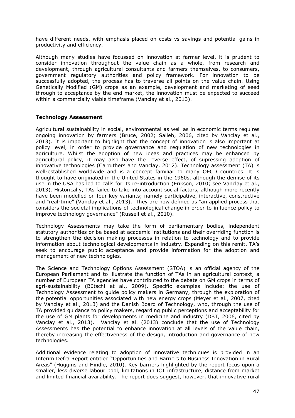have different needs, with emphasis placed on costs vs savings and potential gains in productivity and efficiency.

Although many studies have focussed on innovation at farmer level, it is prudent to consider innovation throughout the value chain as a whole, from research and development, through agricultural consultants and farmers themselves, to consumers, government regulatory authorities and policy framework. For innovation to be successfully adopted, the process has to traverse all points on the value chain. Using Genetically Modified (GM) crops as an example, development and marketing of seed through to acceptance by the end market, the innovation must be expected to succeed within a commercially viable timeframe (Vanclay et al., 2013).

#### **Technology Assessment**

Agricultural sustainability in social, environmental as well as in economic terms requires ongoing innovation by farmers (Bruce, 2002; Salleh, 2006, cited by Vanclay et al., 2013). It is important to highlight that the concept of innovation is also important at policy level, in order to provide governance and regulation of new technologies in agriculture. Whilst the adoption of new ideas and practices may be enhanced by agricultural policy, it may also have the reverse effect, of supressing adoption of innovative technologies (Carruthers and Vanclay, 2012). Technology assessment (TA) is well-established worldwide and is a concept familiar to many OECD countries. It is thought to have originated in the United States in the 1960s, although the demise of its use in the USA has led to calls for its re-introduction (Erikson, 2010; see Vanclay et al., 2013). Historically, TAs failed to take into account social factors, although more recently have been modelled on four key variants; namely participative, interactive, constructive and "real-time" (Vanclay et al., 2013). They are now defined as "an applied process that considers the societal implications of technological change in order to influence policy to improve technology governance" (Russell et al., 2010).

Technology Assessments may take the form of parliamentary bodies, independent statutory authorities or be based at academic institutions and their overriding function is to strengthen the decision making processes in relation to technology and to provide information about technological developments in industry. Expanding on this remit, TA's seek to encourage public acceptance and provide information for the adoption and management of new technologies.

The Science and Technology Options Assessment (STOA) is an official agency of the European Parliament and to illustrate the function of TAs in an agricultural context, a number of European TA agencies have contributed to the debate on GM crops in terms of agri-sustainability (Bűtschi et al., 2009). Specific examples include: the use of Technology Assessment to guide policy makers in Germany, through the exploration of the potential opportunities associated with new energy crops (Meyer et al., 2007, cited by Vanclay et al., 2013) and the Danish Board of Technology, who, through the use of TA provided guidance to policy makers, regarding public perceptions and acceptability for the use of GM plants for developments in medicine and industry (DBT, 2006, cited by Vanclay et al., 2013). Vanclay et al. (2013) conclude that the use of Technology Assessments has the potential to enhance innovation at all levels of the value chain, thereby increasing the effectiveness of the design, introduction and governance of new technologies.

Additional evidence relating to adoption of innovative techniques is provided in an Interim Defra Report entitled "Opportunities and Barriers to Business Innovation in Rural Areas" (Huggins and Hindle, 2010). Key barriers highlighted by the report focus upon a smaller, less diverse labour pool, limitations in ICT infrastructure, distance from market and limited financial availability. The report does suggest, however, that innovative rural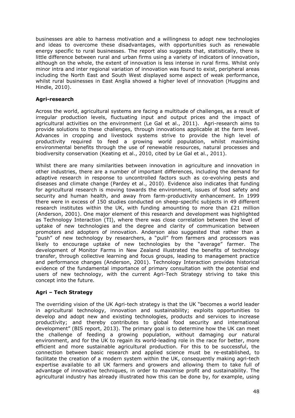businesses are able to harness motivation and a willingness to adopt new technologies and ideas to overcome these disadvantages, with opportunities such as renewable energy specific to rural businesses. The report also suggests that, statistically, there is little difference between rural and urban firms using a variety of indicators of innovation, although on the whole, the extent of innovation is less intense in rural firms. Whilst only minor intra and inter regional variation of innovation was found to exist, peripheral areas including the North East and South West displayed some aspect of weak performance, whilst rural businesses in East Anglia showed a higher level of innovation (Huggins and Hindle, 2010).

## **Agri-research**

Across the world, agricultural systems are facing a multitude of challenges, as a result of irregular production levels, fluctuating input and output prices and the impact of agricultural activities on the environment (Le Gal et al., 2011). Agri-research aims to provide solutions to these challenges, through innovations applicable at the farm level. Advances in cropping and livestock systems strive to provide the high level of productivity required to feed a growing world population, whilst maximising environmental benefits through the use of renewable resources, natural processes and biodiversity conservation (Keating et al., 2010, cited by Le Gal et al., 2011).

Whilst there are many similarities between innovation in agriculture and innovation in other industries, there are a number of important differences, including the demand for adaptive research in response to uncontrolled factors such as co-evolving pests and diseases and climate change (Pardey et al., 2010). Evidence also indicates that funding for agricultural research is moving towards the environment, issues of food safety and security and human health, and away from farm-productivity enhancement. In 1999 there were in excess of 150 studies conducted on sheep-specific subjects in 49 different research institutes within the UK, with funding amounting to more than £21 million (Anderson, 2001). One major element of this research and development was highlighted as Technology Interaction (TI), where there was close correlation between the level of uptake of new technologies and the degree and clarity of communication between promoters and adopters of innovation. Anderson also suggested that rather than a "push" of new technology by researchers, a "pull" from farmers and processors was likely to encourage uptake of new technologies by the "average" farmer. The development of Monitor Farms in New Zealand illustrated the benefits of technology transfer, through collective learning and focus groups, leading to management practice and performance changes (Anderson, 2001). Technology Interaction provides historical evidence of the fundamental importance of primary consultation with the potential end users of new technology, with the current Agri-Tech Strategy striving to take this concept into the future.

## **Agri – Tech Strategy**

The overriding vision of the UK Agri-tech strategy is that the UK "becomes a world leader in agricultural technology, innovation and sustainability; exploits opportunities to develop and adopt new and existing technologies, products and services to increase productivity; and thereby contributes to global food security and international development" (BIS report, 2013). The primary goal is to determine how the UK can meet the challenge of feeding a growing population, without damaging our natural environment, and for the UK to regain its world-leading role in the race for better, more efficient and more sustainable agricultural production. For this to be successful, the connection between basic research and applied science must be re-established, to facilitate the creation of a modern system within the UK, consequently making agri-tech expertise available to all UK farmers and growers and allowing them to take full of advantage of innovative techniques, in order to maximise profit and sustainability. The agricultural industry has already illustrated how this can be done by, for example, using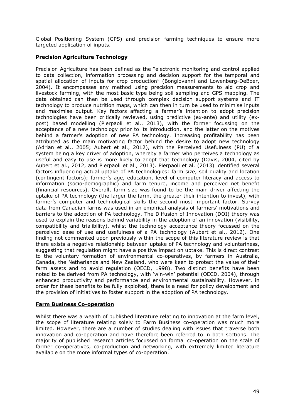Global Positioning System (GPS) and precision farming techniques to ensure more targeted application of inputs.

## **Precision Agriculture Technology**

Precision Agriculture has been defined as the "electronic monitoring and control applied to data collection, information processing and decision support for the temporal and spatial allocation of inputs for crop production" (Bongiovanni and Lowenberg-DeBoer, 2004). It encompasses any method using precision measurements to aid crop and livestock farming, with the most basic type being soil sampling and GPS mapping. The data obtained can then be used through complex decision support systems and IT technology to produce nutrition maps, which can then in turn be used to minimise inputs and maximise output. Key factors affecting a farmer's intention to adopt precision technologies have been critically reviewed, using predictive (ex-ante) and utility (expost) based modelling (Pierpaoli et al., 2013), with the former focussing on the acceptance of a new technology prior to its introduction, and the latter on the motives behind a farmer's adoption of new PA technology. Increasing profitability has been attributed as the main motivating factor behind the desire to adopt new technology (Adrian et al., 2005; Aubert et al., 2012), with the Perceived Usefulness (PU) of a system being a key driver of adoption, whereby a farmer who perceives a technology as useful and easy to use is more likely to adopt that technology (Davis, 2004, cited by Aubert et al., 2012, and Pierpaoli et al., 2013). Pierpaoli et al. (2013) identified several factors influencing actual uptake of PA technologies: farm size, soil quality and location (contingent factors); farmer's age, education, level of computer literacy and access to information (socio-demographic) and farm tenure, income and perceived net benefit (financial resources). Overall, farm size was found to be the main driver affecting the uptake of PA technology (the larger the farm, the greater their intention to invest), with farmer's computer and technological skills the second most important factor. Survey data from Canadian farms was used in an empirical analysis of farmers' motivations and barriers to the adoption of PA technology. The Diffusion of Innovation (DOI) theory was used to explain the reasons behind variability in the adoption of an innovation (visibility, compatibility and trialibility), whilst the technology acceptance theory focussed on the perceived ease of use and usefulness of a PA technology (Aubert et al., 2012). One finding not commented upon previously within the scope of this literature review is that there exists a negative relationship between uptake of PA technology and voluntariness, suggesting that regulation might have a positive impact on uptake. This is direct contrast to the voluntary formation of environmental co-operatives, by farmers in Australia, Canada, the Netherlands and New Zealand, who were keen to protect the value of their farm assets and to avoid regulation (OECD, 1998). Two distinct benefits have been noted to be derived from PA technology, with 'win-win' potential (OECD, 2004), through enhanced productivity and performance and environmental sustainability. However, in order for these benefits to be fully exploited, there is a need for policy development and the provision of initiatives to foster support in the adoption of PA technology.

#### **Farm Business Co-operation**

Whilst there was a wealth of published literature relating to innovation at the farm level, the scope of literature relating solely to Farm Business co-operation was much more limited. However, there are a number of studies dealing with issues that traverse both innovation and co-operation and have therefore been referred to in both sections. The majority of published research articles focussed on formal co-operation on the scale of farmer co-operatives, co-production and networking, with extremely limited literature available on the more informal types of co-operation.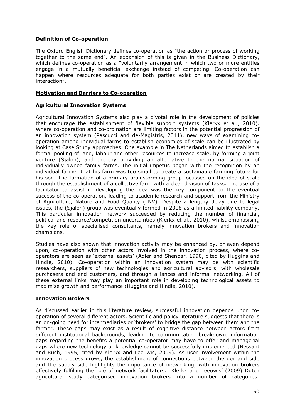## **Definition of Co-operation**

The Oxford English Dictionary defines co-operation as "the action or process of working together to the same end". An expansion of this is given in the Business Dictionary, which defines co-operation as a "voluntarily [arrangement](http://www.businessdictionary.com/definition/arrangement.html) in which two or more [entities](http://www.businessdictionary.com/definition/entity.html) engage in a mutually beneficial [exchange](http://www.businessdictionary.com/definition/exchange.html) insteadof [competing.](http://www.businessdictionary.com/definition/competing.html) Co-operation can happen where [resources](http://www.businessdictionary.com/definition/resource.html) [adequate](http://www.businessdictionary.com/definition/adequate.html) for both [parties](http://www.businessdictionary.com/definition/party.html) exist or are created by their interaction".

## **Motivation and Barriers to Co-operation**

#### **Agricultural Innovation Systems**

Agricultural Innovation Systems also play a pivotal role in the development of policies that encourage the establishment of flexible support systems (Klerkx et al., 2010). Where co-operation and co-ordination are limiting factors in the potential progression of an innovation system (Pascucci and de-Magistris, 2011), new ways of examining cooperation among individual farms to establish economies of scale can be illustrated by looking at Case Study approaches. One example in The Netherlands aimed to establish a formal pooling of land, labour and other resources to increase scale, by forming a joint venture (Sjalon), and thereby providing an alternative to the normal situation of individually owned family farms. The initial impetus began with the recognition by an individual farmer that his farm was too small to create a sustainable farming future for his son. The formation of a primary brainstorming group focussed on the idea of scale through the establishment of a collective farm with a clear division of tasks. The use of a facilitator to assist in developing the idea was the key component to the eventual success of the co-operation, leading to academic research and support from the Ministry of Agriculture, Nature and Food Quality (LNV). Despite a lengthy delay due to legal issues, the (Sjalon) group was eventually formed in 2008 as a limited liability company. This particular innovation network succeeded by reducing the number of financial, political and resource/competition uncertainties (Klerkx et al., 2010), whilst emphasising the key role of specialised consultants, namely innovation brokers and innovation champions.

Studies have also shown that innovation activity may be enhanced by, or even depend upon, co-operation with other actors involved in the innovation process, where cooperators are seen as 'external assets' (Adler and Shenbar, 1990, cited by Huggins and Hindle, 2010). Co-operation within an innovation system may be with scientific researchers, suppliers of new technologies and agricultural advisors, with wholesale purchasers and end customers, and through alliances and informal networking. All of these external links may play an important role in developing technological assets to maximise growth and performance (Huggins and Hindle, 2010).

#### **Innovation Brokers**

As discussed earlier in this literature review, successful innovation depends upon cooperation of several different actors. Scientific and policy literature suggests that there is an on-going need for intermediaries or 'brokers' to bridge the gap between them and the farmer. These gaps may exist as a result of cognitive distance between actors from different institutional backgrounds, leading to communication breakdown, information gaps regarding the benefits a potential co-operator may have to offer and managerial gaps where new technology or knowledge cannot be successfully implemented (Bessant and Rush, 1995, cited by Klerkx and Leeuwis, 2009). As user involvement within the innovation process grows, the establishment of connections between the demand side and the supply side highlights the importance of networking, with innovation brokers effectively fulfilling the role of network facilitators. Klerkx and Leeuwis' (2009) Dutch agricultural study categorised innovation brokers into a number of categories: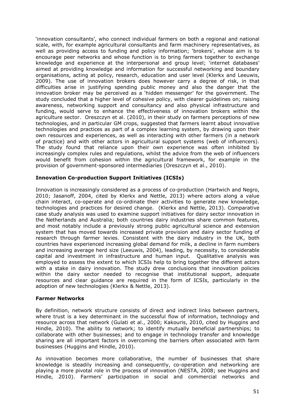'innovation consultants', who connect individual farmers on both a regional and national scale, with, for example agricultural consultants and farm machinery representatives, as well as providing access to funding and policy information; 'brokers', whose aim is to encourage peer networks and whose function is to bring farmers together to exchange knowledge and experience at the interpersonal and group level; 'internet databases' aimed at providing knowledge and information for successful networking and boundary organisations, acting at policy, research, education and user level (Klerkx and Leeuwis. 2009). The use of innovation brokers does however carry a degree of risk, in that difficulties arise in justifying spending public money and also the danger that the innovation broker may be perceived as a 'hidden messenger' for the government. The study concluded that a higher level of cohesive policy, with clearer guidelines on; raising awareness, networking support and consultancy and also physical infrastructure and funding, would serve to enhance the effectiveness of innovation brokers within the agriculture sector. Oreszczyn et al. (2010), in their study on farmers perceptions of new technologies, and in particular GM crops, suggested that farmers learnt about innovative technologies and practices as part of a complex learning system, by drawing upon their own resources and experiences, as well as interacting with other farmers (in a network of practice) and with other actors in agricultural support systems (web of influencers). The study found that reliance upon their own experience was often inhibited by increasingly complex rules and regulations, whilst the advice from the web of influencers would benefit from cohesion within the agricultural framework, for example in the provision of government-sponsored intermediaries (Oreszczyn et al., 2010).

## **Innovation Co-production Support Initiatives (ICSIs)**

Innovation is increasingly considered as a process of co-production (Hartwich and Negro, 2010; Jasanoff, 2004, cited by Klerkx and Nettle, 2013) where actors along a value chain interact, co-operate and co-ordinate their activities to generate new knowledge, technologies and practices for desired change. (Klerkx and Nettle, 2013). Comparative case study analysis was used to examine support initiatives for dairy sector innovation in the Netherlands and Australia; both countries dairy industries share common features, and most notably include a previously strong public agricultural science and extension system that has moved towards increased private provision and dairy sector funding of research through farmer levies. Consistent with the dairy industry in the UK, both countries have experienced increasing global demand for milk, a decline in farm numbers and increasing average herd size (Leeuwis, 2004), leading, by necessity, to considerable capital and investment in infrastructure and human input. Qualitative analysis was employed to assess the extent to which ICSIs help to bring together the different actors with a stake in dairy innovation. The study drew conclusions that innovation policies within the dairy sector needed to recognise that institutional support, adequate resources and clear guidance are required in the form of ICSIs, particularly in the adoption of new technologies (Klerkx & Nettle, 2013).

#### **Farmer Networks**

By definition, network structure consists of direct and indirect links between partners, where trust is a key determinant in the successful flow of information, technology and resource across that network (Gulati et al., 2000; Kakouris, 2010, cited by Huggins and Hindle, 2010). The ability to network; to identify mutually beneficial partnerships; to collaborate with other businesses; and to engage in technology transfer and knowledge sharing are all important factors in overcoming the barriers often associated with farm businesses (Huggins and Hindle, 2010).

As innovation becomes more collaborative, the number of businesses that share knowledge is steadily increasing and consequently, co-operation and networking are playing a more pivotal role in the process of innovation (NESTA, 2008; see Huggins and Hindle, 2010). Farmers' participation in social and commercial networks and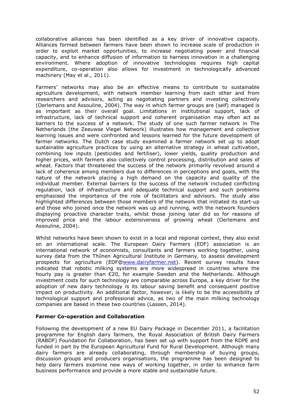collaborative alliances has been identified as a key driver of innovative capacity. Alliances formed between farmers have been shown to increase scale of production in order to exploit market opportunities, to increase negotiating power and financial capacity, and to enhance diffusion of information to harness innovation in a challenging environment. Where adoption of innovative technologies requires high capital expenditure, co-operation also allows for investment in technologically advanced machinery (May et al., 2011).

Farmers' networks may also be an effective means to contribute to sustainable agriculture development, with network member learning from each other and from researchers and advisors, acting as negotiating partners and investing collectively (Oerlemans and Assouline, 2004). The way in which farmer groups are (self) managed is as important as their overall goal. Limitations in institutional support, lack of infrastructure, lack of technical support and coherent organisation may often act as barriers to the success of a network. The study of one such farmer network in The Netherlands (the Zeeuwse Vlegel Network) illustrates how management and collective learning issues and were confronted and lessons learned for the future development of farmer networks. The Dutch case study examined a farmer network set up to adopt sustainable agriculture practices by using an alternative strategy in wheat cultivation, combining low inputs (pesticides and fertiliser), lower yields, quality production and higher prices, with farmers also collectively control processing, distribution and sales of wheat. Factors that threatened the success of the network primarily revolved around a lack of coherence among members due to differences in perceptions and goals, with the nature of the network placing a high demand on the capacity and quality of the individual member. External barriers to the success of the network included conflicting regulation, lack of infrastructure and adequate technical support and such problems emphasised the importance of the role of facilitators and advisors. The study also highlighted differences between those members of the network that initiated its start-up and those who joined once the network was up and running, with the network founders displaying proactive character traits, whilst those joining later did so for reasons of improved price and the labour extensiveness of growing wheat (Oerlemans and Assouline, 2004).

Whilst networks have been shown to exist in a local and regional context, they also exist on an international scale. The European Dairy Farmers (EDF) association is an international network of economists, consultants and farmers working together, using survey data from the Thὕnen Agricultural Institute in Germany, to assess development prospects for agriculture (EDF[@www.dairyfarmer.net](http://www.dairyfarmer.net/)). Recent survey results have indicated that robotic milking systems are more widespread in countries where the hourly pay is greater than €20, for example Sweden and the Netherlands. Although investment costs for such technology are comparable across Europe, a key driver for the adoption of new dairy technology is its labour saving benefit and consequent positive impact on productivity. An additional factor, however, is likely to be the accessibility of technological support and professional advice, as two of the main milking technology companies are based in these two countries (Lassen, 2014).

#### **Farmer Co-operation and Collaboration**

Following the development of a new EU Dairy Package in December 2011, a facilitation programme for English dairy farmers, the Royal Association of British Dairy Farmers (RABDF) Foundation for Collaboration, has been set up with support from the RDPE and funded in part by the European Agricultural Fund for Rural Development. Although many dairy farmers are already collaborating, through membership of buying groups, discussion groups and producers organisations, the programme has been designed to help dairy farmers examine new ways of working together, in order to enhance farm business performance and provide a more stable and sustainable future.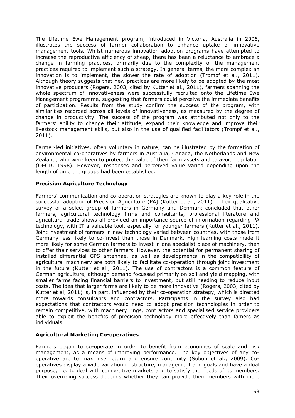The Lifetime Ewe Management program, introduced in Victoria, Australia in 2006, illustrates the success of farmer collaboration to enhance uptake of innovative management tools. Whilst numerous innovation adoption programs have attempted to increase the reproductive efficiency of sheep, there has been a reluctance to embrace a change in farming practices, primarily due to the complexity of the management practices required to implement such a strategy. In general terms, the more complex an innovation is to implement, the slower the rate of adoption (Trompf et al., 2011). Although theory suggests that new practices are more likely to be adopted by the most innovative producers (Rogers, 2003, cited by Kutter et al., 2011), farmers spanning the whole spectrum of innovativeness were successfully recruited onto the Lifetime Ewe Management programme, suggesting that farmers could perceive the immediate benefits of participation. Results from the study confirm the success of the program, with similarities recorded across all levels of innovativeness, as measured by the degree of change in productivity. The success of the program was attributed not only to the farmers' ability to change their attitude, expand their knowledge and improve their livestock management skills, but also in the use of qualified facilitators (Trompf et al., 2011).

Farmer-led initiatives, often voluntary in nature, can be illustrated by the formation of environmental co-operatives by farmers in Australia, Canada, the Netherlands and New Zealand, who were keen to protect the value of their farm assets and to avoid regulation (OECD, 1998). However, responses and perceived value varied depending upon the length of time the groups had been established.

## **Precision Agriculture Technology**

Farmers' communication and co-operation strategies are known to play a key role in the successful adoption of Precision Agriculture (PA) (Kutter et al., 2011). Their qualitative survey of a select group of farmers in Germany and Denmark concluded that other farmers, agricultural technology firms and consultants, professional literature and agricultural trade shows all provided an importance source of information regarding PA technology, with IT a valuable tool, especially for younger farmers (Kutter et al., 2011). Joint investment of farmers in new technology varied between countries, with those from Germany less likely to co-invest than those in Denmark. High learning costs made it more likely for some German farmers to invest in one specialist piece of machinery, then to offer their services to other farmers. However, the potential for permanent sharing of installed differential GPS antennae, as well as developments in the compatibility of agricultural machinery are both likely to facilitate co-operation through joint investment in the future (Kutter et al., 2011). The use of contractors is a common feature of German agriculture, although demand focussed primarily on soil and yield mapping, with smaller farms facing financial barriers to investment, but still needing to reduce input costs. The idea that larger farms are likely to be more innovative (Rogers, 2003, cited by Kutter et al, 2011) is, in part, influenced by their co-operation strategy, which is directed more towards consultants and contractors. Participants in the survey also had expectations that contractors would need to adopt precision technologies in order to remain competitive, with machinery rings, contractors and specialised service providers able to exploit the benefits of precision technology more effectively than famers as individuals.

## **Agricultural Marketing Co-operatives**

Farmers began to co-operate in order to benefit from economies of scale and risk management, as a means of improving performance. The key objectives of any cooperative are to maximise return and ensure continuity (Soboh et al., 2009). Cooperatives display a wide variation in structure, management and goals and have a dual purpose, i.e. to deal with competitive markets and to satisfy the needs of its members. Their overriding success depends whether they can provide their members with more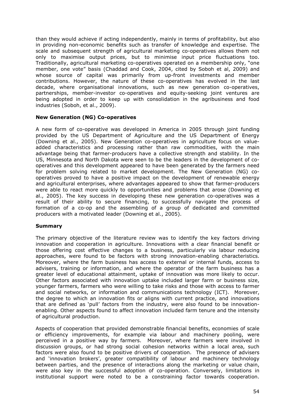than they would achieve if acting independently, mainly in terms of profitability, but also in providing non-economic benefits such as transfer of knowledge and expertise. The scale and subsequent strength of agricultural marketing co-operatives allows them not only to maximise output prices, but to minimise input price fluctuations too. Traditionally, agricultural marketing co-operatives operated on a membership only, "one member, one vote" basis (Chaddad and Cook, 2004, cited by Soboh et al, 2009) and whose source of capital was primarily from up-front investments and member contributions. However, the nature of these co-operatives has evolved in the last decade, where organisational innovations, such as new generation co-operatives, partnerships, member-investor co-operatives and equity-seeking joint ventures are being adopted in order to keep up with consolidation in the agribusiness and food industries (Soboh, et al., 2009).

#### **New Generation (NG) Co-operatives**

A new form of co-operative was developed in America in 2005 through joint funding provided by the US Department of Agriculture and the US Department of Energy (Downing et al., 2005). New Generation co-operatives in agriculture focus on valueadded characteristics and processing rather than raw commodities, with the main advantage being that farmer-producers have a collective strength and stability. In the US, Minnesota and North Dakota were seen to be the leaders in the development of cooperatives and this development appeared to have been generated by the farmers need for problem solving related to market development. The New Generation (NG) cooperatives proved to have a positive impact on the development of renewable energy and agricultural enterprises, where advantages appeared to show that farmer-producers were able to react more quickly to opportunities and problems that arose (Downing et al., 2005). The key success in developing these new generation co-operatives was a result of their ability to secure financing, to successfully navigate the process of formation of a co-op and the assembling of a group of dedicated and committed producers with a motivated leader (Downing et al., 2005).

#### **Summary**

The primary objective of the literature review was to identify the key factors driving innovation and cooperation in agriculture. Innovations with a clear financial benefit or those offering cost effective changes to a business, particularly via labour reducing approaches, were found to be factors with strong innovation-enabling characteristics. Moreover, where the farm business has access to external or internal funds, access to advisers, training or information, and where the operator of the farm business has a greater level of educational attainment, uptake of innovation was more likely to occur. Other factors associated with innovation uptake included larger farm or business size, younger farmers, farmers who were willing to take risks and those with access to farmer and social networks, or information and communications technology (ICT). Moreover, the degree to which an innovation fits or aligns with current practice, and innovations that are defined as 'pull' factors from the industry, were also found to be innovationenabling. Other aspects found to affect innovation included farm tenure and the intensity of agricultural production.

Aspects of cooperation that provided demonstrable financial benefits, economies of scale or efficiency improvements, for example via labour and machinery pooling, were perceived in a positive way by farmers. Moreover, where farmers were involved in discussion groups, or had strong social cohesion networks within a local area, such factors were also found to be positive drivers of cooperation. The presence of advisers and 'innovation brokers', greater compatibility of labour and machinery technology between parties, and the presence of interactions along the marketing or value chain, were also key in the successful adoption of co-operation. Conversely, limitations in institutional support were noted to be a constraining factor towards cooperation.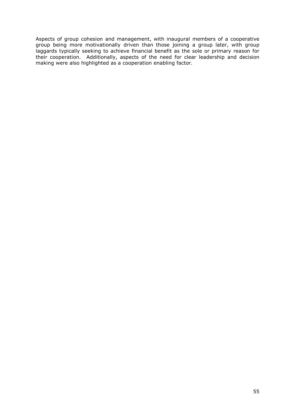Aspects of group cohesion and management, with inaugural members of a cooperative group being more motivationally driven than those joining a group later, with group laggards typically seeking to achieve financial benefit as the sole or primary reason for their cooperation. Additionally, aspects of the need for clear leadership and decision making were also highlighted as a cooperation enabling factor.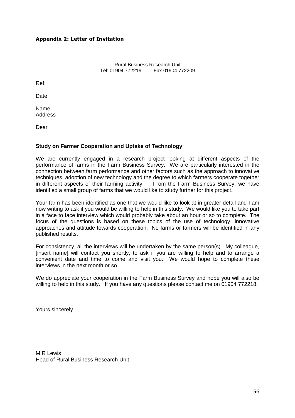## <span id="page-55-0"></span>**Appendix 2: Letter of Invitation**

Rural Business Research Unit<br>Tel: 01904 772219 Fax 01904 7 Fax 01904 772209

Ref:

Date

Name Address

Dear

## **Study on Farmer Cooperation and Uptake of Technology**

We are currently engaged in a research project looking at different aspects of the performance of farms in the Farm Business Survey. We are particularly interested in the connection between farm performance and other factors such as the approach to innovative techniques, adoption of new technology and the degree to which farmers cooperate together in different aspects of their farming activity. From the Farm Business Survey, we have identified a small group of farms that we would like to study further for this project.

Your farm has been identified as one that we would like to look at in greater detail and I am now writing to ask if you would be willing to help in this study. We would like you to take part in a face to face interview which would probably take about an hour or so to complete. The focus of the questions is based on these topics of the use of technology, innovative approaches and attitude towards cooperation. No farms or farmers will be identified in any published results.

For consistency, all the interviews will be undertaken by the same person(s). My colleague, [insert name] will contact you shortly, to ask if you are willing to help and to arrange a convenient date and time to come and visit you. We would hope to complete these interviews in the next month or so.

We do appreciate your cooperation in the Farm Business Survey and hope you will also be willing to help in this study. If you have any questions please contact me on 01904 772218.

Yours sincerely

M R Lewis Head of Rural Business Research Unit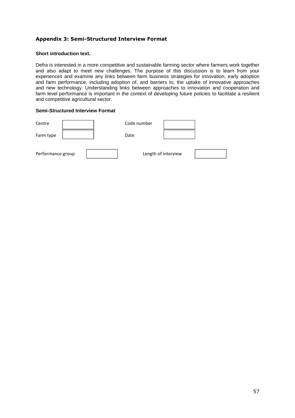## <span id="page-56-0"></span>**Appendix 3: Semi-Structured Interview Format**

#### **Short introduction text.**

Defra is interested in a more competitive and sustainable farming sector where farmers work together and also adapt to meet new challenges. The purpose of this discussion is to learn from your experiences and examine any links between farm business strategies for innovation, early adoption and farm performance, including adoption of, and barriers to, the uptake of innovative approaches and new technology. Understanding links between approaches to innovation and cooperation and farm level performance is important in the context of developing future policies to facilitate a resilient and competitive agricultural sector.

#### **Semi-Structured Interview Format**

| Centre            |  | Code number |                     |  |
|-------------------|--|-------------|---------------------|--|
| Farm type         |  | Date        |                     |  |
| Performance group |  |             | Length of interview |  |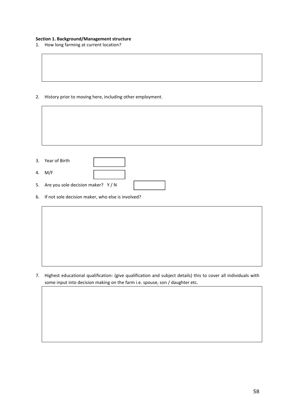#### **Section 1. Background/Management structure**

1. How long farming at current location?

2. History prior to moving here, including other employment.

| 3. Year of Birth                                     |
|------------------------------------------------------|
| 4. M/F                                               |
| 5. Are you sole decision maker? Y/N                  |
| 6. If not sole decision maker, who else is involved? |

7. Highest educational qualification: (give qualification and subject details) this to cover all individuals with some input into decision making on the farm i.e. spouse, son / daughter etc.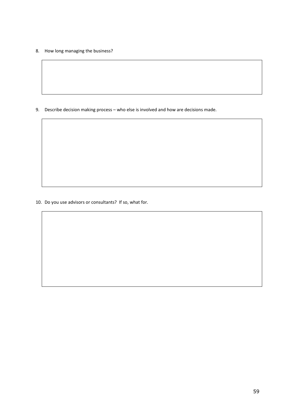8. How long managing the business?

9. Describe decision making process – who else is involved and how are decisions made.

10. Do you use advisors or consultants? If so, what for.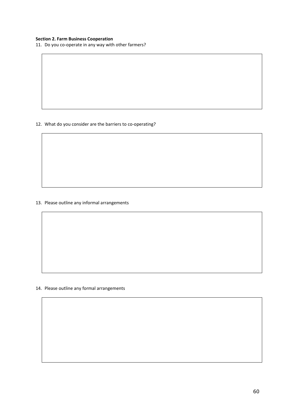#### **Section 2. Farm Business Cooperation**

11. Do you co-operate in any way with other farmers?

12. What do you consider are the barriers to co-operating?

#### 13. Please outline any informal arrangements

14. Please outline any formal arrangements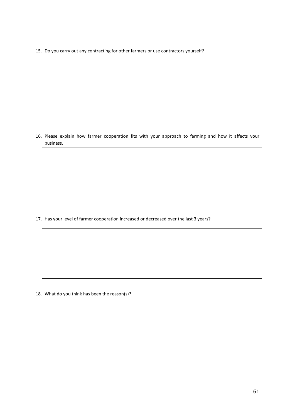15. Do you carry out any contracting for other farmers or use contractors yourself?

16. Please explain how farmer cooperation fits with your approach to farming and how it affects your business.

17. Has your level of farmer cooperation increased or decreased over the last 3 years?

18. What do you think has been the reason(s)?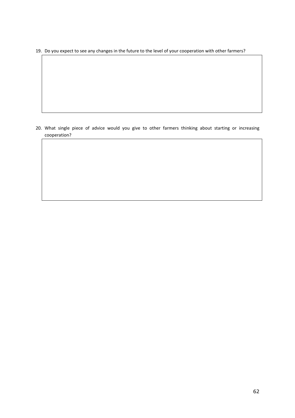19. Do you expect to see any changes in the future to the level of your cooperation with other farmers?

20. What single piece of advice would you give to other farmers thinking about starting or increasing cooperation?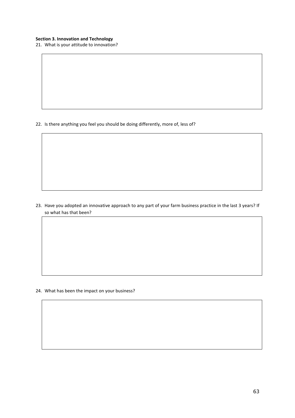21. What is your attitude to innovation?

22. Is there anything you feel you should be doing differently, more of, less of?

23. Have you adopted an innovative approach to any part of your farm business practice in the last 3 years? If so what has that been?

24. What has been the impact on your business?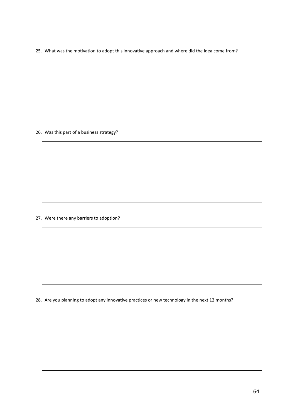25. What was the motivation to adopt this innovative approach and where did the idea come from?

#### 26. Was this part of a business strategy?

27. Were there any barriers to adoption?

28. Are you planning to adopt any innovative practices or new technology in the next 12 months?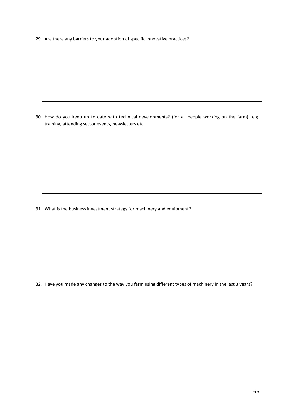29. Are there any barriers to your adoption of specific innovative practices?

30. How do you keep up to date with technical developments? (for all people working on the farm) e.g. training, attending sector events, newsletters etc.

31. What is the business investment strategy for machinery and equipment?

32. Have you made any changes to the way you farm using different types of machinery in the last 3 years?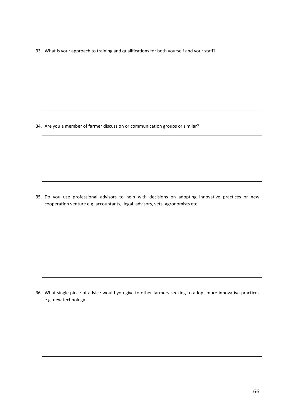33. What is your approach to training and qualifications for both yourself and your staff?

34. Are you a member of farmer discussion or communication groups or similar?

35. Do you use professional advisors to help with decisions on adopting innovative practices or new cooperation venture e.g. accountants, legal advisors, vets, agronomists etc

36. What single piece of advice would you give to other farmers seeking to adopt more innovative practices e.g. new technology.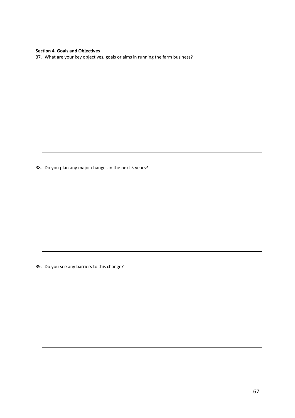#### **Section 4. Goals and Objectives**

37. What are your key objectives, goals or aims in running the farm business?

38. Do you plan any major changes in the next 5 years?

39. Do you see any barriers to this change?